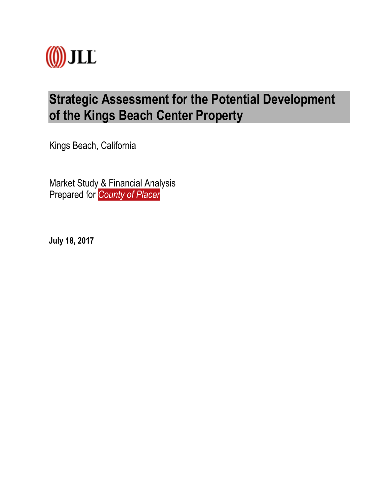

# **Strategic Assessment for the Potential Development of the Kings Beach Center Property**

Kings Beach, California

Market Study & Financial Analysis Prepared for *County of Placer*

**July 18, 2017**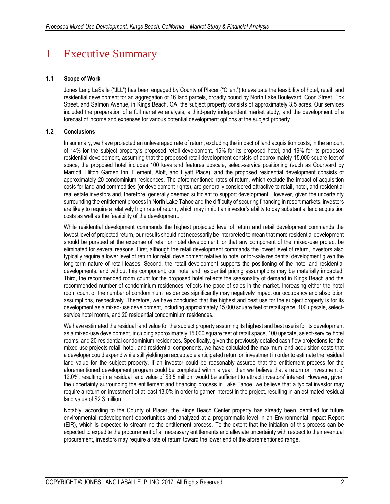# 1 Executive Summary

## **1.1 Scope of Work**

Jones Lang LaSalle ("JLL") has been engaged by County of Placer ("Client") to evaluate the feasibility of hotel, retail, and residential development for an aggregation of 16 land parcels, broadly bound by North Lake Boulevard, Coon Street, Fox Street, and Salmon Avenue, in Kings Beach, CA. the subject property consists of approximately 3.5 acres. Our services included the preparation of a full narrative analysis, a third-party independent market study, and the development of a forecast of income and expenses for various potential development options at the subject property.

## **1.2 Conclusions**

In summary, we have projected an unleveraged rate of return, excluding the impact of land acquisition costs, in the amount of 14% for the subject property's proposed retail development, 15% for its proposed hotel, and 19% for its proposed residential development, assuming that the proposed retail development consists of approximately 15,000 square feet of space, the proposed hotel includes 100 keys and features upscale, select-service positioning (such as Courtyard by Marriott, Hilton Garden Inn, Element, Aloft, and Hyatt Place), and the proposed residential development consists of approximately 20 condominium residences. The aforementioned rates of return, which exclude the impact of acquisition costs for land and commodities (or development rights), are generally considered attractive to retail, hotel, and residential real estate investors and, therefore, generally deemed sufficient to support development. However, given the uncertainty surrounding the entitlement process in North Lake Tahoe and the difficulty of securing financing in resort markets, investors are likely to require a relatively high rate of return, which may inhibit an investor's ability to pay substantial land acquisition costs as well as the feasibility of the development.

While residential development commands the highest projected level of return and retail development commands the lowest level of projected return, our results should not necessarily be interpreted to mean that more residential development should be pursued at the expense of retail or hotel development, or that any component of the mixed-use project be eliminated for several reasons. First, although the retail development commands the lowest level of return, investors also typically require a lower level of return for retail development relative to hotel or for-sale residential development given the long-term nature of retail leases. Second, the retail development supports the positioning of the hotel and residential developments, and without this component, our hotel and residential pricing assumptions may be materially impacted. Third, the recommended room count for the proposed hotel reflects the seasonality of demand in Kings Beach and the recommended number of condominium residences reflects the pace of sales in the market. Increasing either the hotel room count or the number of condominium residences significantly may negatively impact our occupancy and absorption assumptions, respectively. Therefore, we have concluded that the highest and best use for the subject property is for its development as a mixed-use development, including approximately 15,000 square feet of retail space, 100 upscale, selectservice hotel rooms, and 20 residential condominium residences.

We have estimated the residual land value for the subject property assuming its highest and best use is for its development as a mixed-use development, including approximately 15,000 square feet of retail space, 100 upscale, select-service hotel rooms, and 20 residential condominium residences. Specifically, given the previously detailed cash flow projections for the mixed-use projects retail, hotel, and residential components, we have calculated the maximum land acquisition costs that a developer could expend while still yielding an acceptable anticipated return on investment in order to estimate the residual land value for the subject property. If an investor could be reasonably assured that the entitlement process for the aforementioned development program could be completed within a year, then we believe that a return on investment of 12.0%, resulting in a residual land value of \$3.5 million, would be sufficient to attract investors' interest. However, given the uncertainty surrounding the entitlement and financing process in Lake Tahoe, we believe that a typical investor may require a return on investment of at least 13.0% in order to garner interest in the project, resulting in an estimated residual land value of \$2.3 million.

Notably, according to the County of Placer, the Kings Beach Center property has already been identified for future environmental redevelopment opportunities and analyzed at a programmatic level in an Environmental Impact Report (EIR), which is expected to streamline the entitlement process. To the extent that the initiation of this process can be expected to expedite the procurement of all necessary entitlements and alleviate uncertainty with respect to their eventual procurement, investors may require a rate of return toward the lower end of the aforementioned range.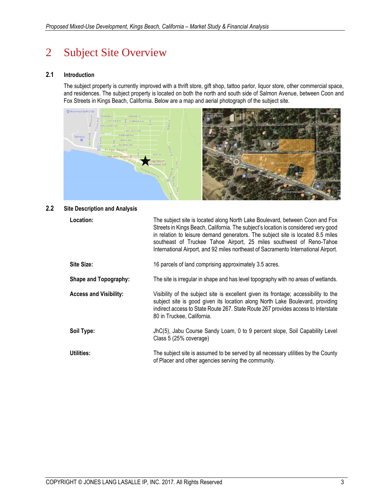# 2 Subject Site Overview

## **2.1 Introduction**

The subject property is currently improved with a thrift store, gift shop, tattoo parlor, liquor store, other commercial space, and residences. The subject property is located on both the north and south side of Salmon Avenue, between Coon and Fox Streets in Kings Beach, California. Below are a map and aerial photograph of the subject site.



## **2.2 Site Description and Analysis**

| Location:                     | The subject site is located along North Lake Boulevard, between Coon and Fox<br>Streets in Kings Beach, California. The subject's location is considered very good<br>in relation to leisure demand generators. The subject site is located 8.5 miles<br>southeast of Truckee Tahoe Airport, 25 miles southwest of Reno-Tahoe<br>International Airport, and 92 miles northeast of Sacramento International Airport. |
|-------------------------------|---------------------------------------------------------------------------------------------------------------------------------------------------------------------------------------------------------------------------------------------------------------------------------------------------------------------------------------------------------------------------------------------------------------------|
| Site Size:                    | 16 parcels of land comprising approximately 3.5 acres.                                                                                                                                                                                                                                                                                                                                                              |
| <b>Shape and Topography:</b>  | The site is irregular in shape and has level topography with no areas of wetlands.                                                                                                                                                                                                                                                                                                                                  |
| <b>Access and Visibility:</b> | Visibility of the subject site is excellent given its frontage; accessibility to the<br>subject site is good given its location along North Lake Boulevard, providing<br>indirect access to State Route 267. State Route 267 provides access to Interstate<br>80 in Truckee, California.                                                                                                                            |
| Soil Type:                    | JhC(5), Jabu Course Sandy Loam, 0 to 9 percent slope, Soil Capability Level<br>Class 5 (25% coverage)                                                                                                                                                                                                                                                                                                               |
| <b>Utilities:</b>             | The subject site is assumed to be served by all necessary utilities by the County<br>of Placer and other agencies serving the community.                                                                                                                                                                                                                                                                            |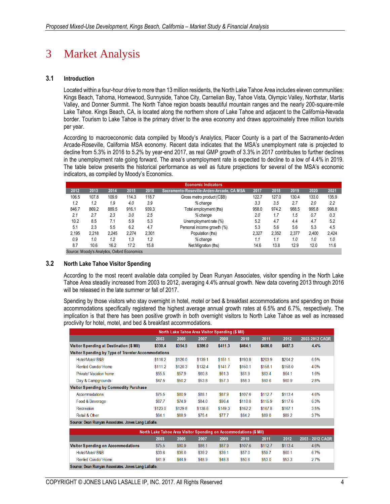# 3 Market Analysis

## **3.1 Introduction**

Located within a four-hour drive to more than 13 million residents, the North Lake Tahoe Area includes eleven communities: Kings Beach, Tahoma, Homewood, Sunnyside, Tahoe City, Carnelian Bay, Tahoe Vista, Olympic Valley, Northstar, Martis Valley, and Donner Summit. The North Tahoe region boasts beautiful mountain ranges and the nearly 200-square-mile Lake Tahoe. Kings Beach, CA, is located along the northern shore of Lake Tahoe and adjacent to the California-Nevada border. Tourism to Lake Tahoe is the primary driver to the area economy and draws approximately three million tourists per year.

According to macroeconomic data compiled by Moody's Analytics, Placer County is a part of the Sacramento-Arden Arcade-Roseville, California MSA economy. Recent data indicates that the MSA's unemployment rate is projected to decline from 5.3% in 2016 to 5.2% by year-end 2017, as real GMP growth of 3.3% in 2017 contributes to further declines in the unemployment rate going forward. The area's unemployment rate is expected to decline to a low of 4.4% in 2019. The table below presents the historical performance as well as future projections for several of the MSA's economic indicators, as compiled by Moody's Economics.

|       |                                           |       |       |       | <b>Economic Indicators</b>                |       |       |       |       |       |
|-------|-------------------------------------------|-------|-------|-------|-------------------------------------------|-------|-------|-------|-------|-------|
| 2012  | 2013                                      | 2014  | 2015  | 2016  | Sacramento-Roseville-Arden-Arcade, CA MSA | 2017  | 2018  | 2019  | 2020  | 2021  |
| 106.5 | 107.8                                     | 109.9 | 114.3 | 118.7 | Gross metro product (C\$B)                | 122.7 | 127.0 | 130.4 | 133.0 | 135.9 |
| 1.2   | 1.2                                       | 1.9   | 4.0   | 3.9   | % change                                  | 3.3   | 3.5   | 2.7   | 2.0   | 2.2   |
| 846.7 | 869.2                                     | 889.5 | 916.1 | 939.3 | Total employment (ths)                    | 958.0 | 974.2 | 988.5 | 995.8 | 998.8 |
| 2.1   | 2.7                                       | 2.3   | 3.0   | 2.5   | % change                                  | 2.0   | 1.7   | 1.5   | 0.7   | 0.3   |
| 10.2  | 8.5                                       | 7.1   | 5.9   | 5.3   | Unemployment rate (%)                     | 5.2   | 4.7   | 4.4   | 4.7   | 5.2   |
| 5.1   | 2.3                                       | 5.5   | 6.2   | 4.7   | Personal income growth (%)                | 5.3   | 5.6   | 5.6   | 5.3   | 4.5   |
| 2.195 | 2.218                                     | 2.245 | 2.274 | 2.301 | Population (ths)                          | 2.327 | 2.352 | 2.377 | 2.400 | 2.424 |
| 0.9   | 1.0                                       | 1.2   | 1.3   | 1.2   | % change                                  | 1.1   | 1.1   | 1.0   | 1.0   | 1.0   |
| 8.7   | 10.6                                      | 16.2  | 17.2  | 15.8  | Net Migration (ths)                       | 14.6  | 13.8  | 12.9  | 12.0  | 11.6  |
|       | Course Moodu's Apalytics Oxford Economics |       |       |       |                                           |       |       |       |       |       |

Source: Moody's Analytics, Oxford Economics

## **3.2 North Lake Tahoe Visitor Spending**

According to the most recent available data compiled by Dean Runyan Associates, visitor spending in the North Lake Tahoe Area steadily increased from 2003 to 2012, averaging 4.4% annual growth. New data covering 2013 through 2016 will be released in the late summer or fall of 2017.

Spending by those visitors who stay overnight in hotel, motel or bed & breakfast accommodations and spending on those accommodations specifically registered the highest average annual growth rates at 6.5% and 6.7%, respectively. The implication is that there has been positive growth in both overnight visitors to North Lake Tahoe as well as increased proclivity for hotel, motel, and bed & breakfast accommodations.

| North Lake Tahoe Area Visitor Spending (\$ Mil)     |         |          |         |         |         |         |         |                |  |  |  |  |
|-----------------------------------------------------|---------|----------|---------|---------|---------|---------|---------|----------------|--|--|--|--|
|                                                     | 2003    | 2005     | 2007    | 2009    | 2010    | 2011    | 2012    | 2003-2012 CAGR |  |  |  |  |
| Visitor Spending at Destination (\$ Mil)            | \$330.4 | \$354.5  | \$386.0 | \$411.3 | \$464.1 | \$486.0 | \$487.3 | 4.4%           |  |  |  |  |
| Visitor Spending by Type of Traveler Accommodations |         |          |         |         |         |         |         |                |  |  |  |  |
| Hotel/Motel/B&B                                     | \$116.2 | \$126.0  | \$139.1 | \$151.1 | \$193.8 | \$203.9 | \$204.2 | 6.5%           |  |  |  |  |
| Rented Condo/Home                                   | \$111.2 | \$120.3  | \$132.4 | \$141.7 | \$150.1 | \$158.1 | \$158.0 | 4.0%           |  |  |  |  |
| Private/ Vacation home                              | \$55.5  | \$57.9   | \$60.8  | \$61.3  | \$61.9  | \$63.4  | \$64.1  | 1.6%           |  |  |  |  |
| Day & Campgrounds                                   | \$47.5  | \$50.2\$ | \$53.8  | \$57.3  | \$58.3  | \$60.6  | \$60.9  | 2.8%           |  |  |  |  |
| Visitor Spending by Commodity Purchase              |         |          |         |         |         |         |         |                |  |  |  |  |
| Accommodations                                      | \$75.5  | \$80.9   | \$88.1  | \$87.9  | \$107.6 | \$112.7 | \$113.4 | 4.6%           |  |  |  |  |
| Food & Beverage                                     | \$67.7  | \$74.9   | \$84.0  | \$96.4  | \$110.0 | \$115.9 | \$117.6 | 6.3%           |  |  |  |  |
| Recreation                                          | \$123.0 | \$129.8  | \$138.6 | \$149.3 | \$162.2 | \$167.8 | \$167.1 | 3.5%           |  |  |  |  |
| Retail & Other                                      | \$64.1  | \$68.9   | \$75.4  | \$77.7  | \$84.2  | \$89.6  | \$89.2  | 3.7%           |  |  |  |  |

| North Lake Tahoe Area Visitor Spending on Accommodations (\$ Mil)        |        |        |        |        |         |         |         |      |  |  |  |  |
|--------------------------------------------------------------------------|--------|--------|--------|--------|---------|---------|---------|------|--|--|--|--|
| 2011<br>2012<br>2003 - 2012 CAGR<br>2003<br>2005<br>2009<br>2010<br>2007 |        |        |        |        |         |         |         |      |  |  |  |  |
| Visitor Spending on Accommodations                                       | \$75.5 | \$80.9 | \$88.1 | \$87.9 | \$107.6 | \$112.7 | \$113.4 | 4.6% |  |  |  |  |
| Hotel/Motel/B&B                                                          | \$33.6 | \$36.0 | \$39.2 | \$39.1 | \$57.0  | \$59.7  | \$60.1  | 6.7% |  |  |  |  |
| Rented Condo/Home                                                        | \$41.9 | \$44.9 | \$48.9 | \$48.8 | \$50.6  | \$53.0  | \$53.3  | 2.7% |  |  |  |  |
|                                                                          |        |        |        |        |         |         |         |      |  |  |  |  |

Source: Dean Runyan Associates. Jones Lang LaS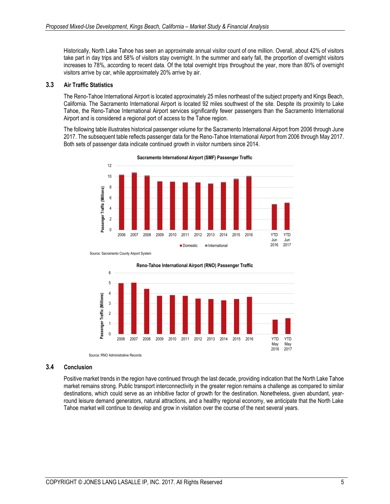Historically, North Lake Tahoe has seen an approximate annual visitor count of one million. Overall, about 42% of visitors take part in day trips and 58% of visitors stay overnight. In the summer and early fall, the proportion of overnight visitors increases to 78%, according to recent data. Of the total overnight trips throughout the year, more than 80% of overnight visitors arrive by car, while approximately 20% arrive by air.

## **3.3 Air Traffic Statistics**

The Reno-Tahoe International Airport is located approximately 25 miles northeast of the subject property and Kings Beach, California. The Sacramento International Airport is located 92 miles southwest of the site. Despite its proximity to Lake Tahoe, the Reno-Tahoe International Airport services significantly fewer passengers than the Sacramento International Airport and is considered a regional port of access to the Tahoe region.

The following table illustrates historical passenger volume for the Sacramento International Airport from 2006 through June 2017. The subsequent table reflects passenger data for the Reno-Tahoe International Airport from 2006 through May 2017. Both sets of passenger data indicate continued growth in visitor numbers since 2014.



**Sacramento International Airport (SMF) Passenger Traffic**

Source: RNO Administrative Records



#### **3.4 Conclusion**

Positive market trends in the region have continued through the last decade, providing indication that the North Lake Tahoe market remains strong. Public transport interconnectivity in the greater region remains a challenge as compared to similar destinations, which could serve as an inhibitive factor of growth for the destination. Nonetheless, given abundant, yearround leisure demand generators, natural attractions, and a healthy regional economy, we anticipate that the North Lake Tahoe market will continue to develop and grow in visitation over the course of the next several years.

Source: Sacramento County Airport System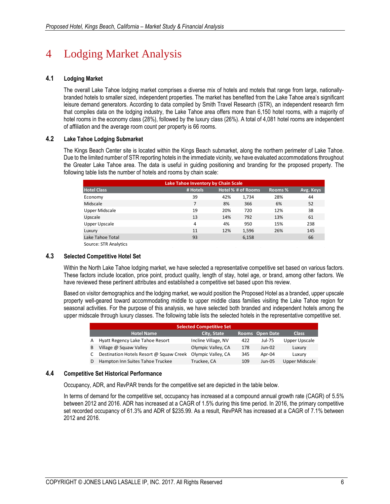# 4 Lodging Market Analysis

## **4.1 Lodging Market**

The overall Lake Tahoe lodging market comprises a diverse mix of hotels and motels that range from large, nationallybranded hotels to smaller sized, independent properties. The market has benefited from the Lake Tahoe area's significant leisure demand generators. According to data compiled by Smith Travel Research (STR), an independent research firm that compiles data on the lodging industry, the Lake Tahoe area offers more than 6,150 hotel rooms, with a majority of hotel rooms in the economy class (28%), followed by the luxury class (26%). A total of 4,081 hotel rooms are independent of affiliation and the average room count per property is 66 rooms.

## **4.2 Lake Tahoe Lodging Submarket**

The Kings Beach Center site is located within the Kings Beach submarket, along the northern perimeter of Lake Tahoe. Due to the limited number of STR reporting hotels in the immediate vicinity, we have evaluated accommodations throughout the Greater Lake Tahoe area. The data is useful in guiding positioning and branding for the proposed property. The following table lists the number of hotels and rooms by chain scale:

|                       | Lake Tahoe Inventory by Chain Scale |     |                    |         |           |  |  |  |  |  |  |  |  |
|-----------------------|-------------------------------------|-----|--------------------|---------|-----------|--|--|--|--|--|--|--|--|
| <b>Hotel Class</b>    | # Hotels                            |     | Hotel % # of Rooms | Rooms % | Avg. Keys |  |  |  |  |  |  |  |  |
| Economy               | 39                                  | 42% | 1,734              | 28%     | 44        |  |  |  |  |  |  |  |  |
| Midscale              | 7                                   | 8%  | 366                | 6%      | 52        |  |  |  |  |  |  |  |  |
| Upper Midscale        | 19                                  | 20% | 720                | 12%     | 38        |  |  |  |  |  |  |  |  |
| Upscale               | 13                                  | 14% | 792                | 13%     | 61        |  |  |  |  |  |  |  |  |
| Upper Upscale         | 4                                   | 4%  | 950                | 15%     | 238       |  |  |  |  |  |  |  |  |
| Luxury                | 11                                  | 12% | 1,596              | 26%     | 145       |  |  |  |  |  |  |  |  |
| Lake Tahoe Total      | 93                                  |     | 6,158              |         | 66        |  |  |  |  |  |  |  |  |
| Source: STR Analytics |                                     |     |                    |         |           |  |  |  |  |  |  |  |  |

## **4.3 Selected Competitive Hotel Set**

Within the North Lake Tahoe lodging market, we have selected a representative competitive set based on various factors. These factors include location, price point, product quality, length of stay, hotel age, or brand, among other factors. We have reviewed these pertinent attributes and established a competitive set based upon this review.

Based on visitor demographics and the lodging market, we would position the Proposed Hotel as a branded, upper upscale property well-geared toward accommodating middle to upper middle class families visiting the Lake Tahoe region for seasonal activities. For the purpose of this analysis, we have selected both branded and independent hotels among the upper midscale through luxury classes. The following table lists the selected hotels in the representative competitive set.

|    | <b>Selected Competitive Set</b>                                     |                     |     |          |                |  |  |  |  |  |  |  |
|----|---------------------------------------------------------------------|---------------------|-----|----------|----------------|--|--|--|--|--|--|--|
|    | <b>Hotel Name</b><br>Rooms Open Date<br>City, State<br><b>Class</b> |                     |     |          |                |  |  |  |  |  |  |  |
| A  | Hyatt Regency Lake Tahoe Resort                                     | Incline Village, NV | 422 | Jul-75   | Upper Upscale  |  |  |  |  |  |  |  |
| B  | Village @ Squaw Valley                                              | Olympic Valley, CA  | 178 | $Jun-02$ | Luxury         |  |  |  |  |  |  |  |
| C  | Destination Hotels Resort @ Squaw Creek                             | Olympic Valley, CA  | 345 | Apr-04   | Luxury         |  |  |  |  |  |  |  |
| D. | Hampton Inn Suites Tahoe Truckee                                    | Truckee, CA         | 109 | $Jun-05$ | Upper Midscale |  |  |  |  |  |  |  |

## **4.4 Competitive Set Historical Performance**

Occupancy, ADR, and RevPAR trends for the competitive set are depicted in the table below.

In terms of demand for the competitive set, occupancy has increased at a compound annual growth rate (CAGR) of 5.5% between 2012 and 2016. ADR has increased at a CAGR of 1.5% during this time period. In 2016, the primary competitive set recorded occupancy of 61.3% and ADR of \$235.99. As a result, RevPAR has increased at a CAGR of 7.1% between 2012 and 2016.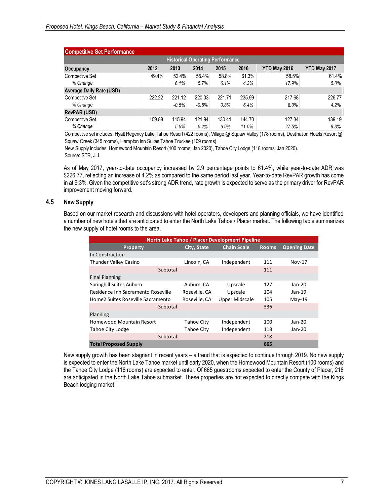| <b>Competitive Set Performance</b>                                                              |        |         |         |         |        |        |         |  |  |  |  |  |  |
|-------------------------------------------------------------------------------------------------|--------|---------|---------|---------|--------|--------|---------|--|--|--|--|--|--|
| <b>Historical Operating Performance</b>                                                         |        |         |         |         |        |        |         |  |  |  |  |  |  |
| 2013<br>2016<br>2012<br>2015<br><b>YTD May 2016</b><br><b>YTD May 2017</b><br>2014<br>Occupancy |        |         |         |         |        |        |         |  |  |  |  |  |  |
| Competitive Set                                                                                 | 49.4%  | 52.4%   | 55.4%   | 58.8%   | 61.3%  | 58.5%  | 61.4%   |  |  |  |  |  |  |
| % Change                                                                                        |        | 6.1%    | 5.7%    | 6.1%    | 4.3%   | 17.9%  | $5.0\%$ |  |  |  |  |  |  |
| <b>Average Daily Rate (USD)</b>                                                                 |        |         |         |         |        |        |         |  |  |  |  |  |  |
| Competitive Set                                                                                 | 222.22 | 221.12  | 220.03  | 221.71  | 235.99 | 217.68 | 226.77  |  |  |  |  |  |  |
| % Change                                                                                        |        | $-0.5%$ | $-0.5%$ | $0.8\%$ | 6.4%   | 8.0%   | 4.2%    |  |  |  |  |  |  |
| <b>RevPAR (USD)</b>                                                                             |        |         |         |         |        |        |         |  |  |  |  |  |  |
| <b>Competitive Set</b>                                                                          | 109.88 | 115.94  | 121.94  | 130.41  | 144.70 | 127.34 | 139.19  |  |  |  |  |  |  |
| % Change                                                                                        |        | 5.5%    | 5.2%    | 6.9%    | 11.0%  | 27.5%  | 9.3%    |  |  |  |  |  |  |

Competitive set includes: Hyatt Regency Lake Tahoe Resort (422 rooms), Village @ Squaw Valley (178 rooms), Destination Hotels Resort @ Squaw Creek (345 rooms), Hampton Inn Suites Tahoe Truckee (109 rooms).

New Supply includes: Homewood Mountain Resort (100 rooms; Jan 2020), Tahoe City Lodge (118 rooms; Jan 2020). Source: STR, JLL

As of May 2017, year-to-date occupancy increased by 2.9 percentage points to 61.4%, while year-to-date ADR was \$226.77, reflecting an increase of 4.2% as compared to the same period last year. Year-to-date RevPAR growth has come in at 9.3%. Given the competitive set's strong ADR trend, rate growth is expected to serve as the primary driver for RevPAR improvement moving forward.

## **4.5 New Supply**

Based on our market research and discussions with hotel operators, developers and planning officials, we have identified a number of new hotels that are anticipated to enter the North Lake Tahoe / Placer market. The following table summarizes the new supply of hotel rooms to the area.

| North Lake Tahoe / Placer Development Pipeline |                    |                    |              |                     |  |  |  |  |  |  |  |
|------------------------------------------------|--------------------|--------------------|--------------|---------------------|--|--|--|--|--|--|--|
| <b>Property</b>                                | <b>City, State</b> | <b>Chain Scale</b> | <b>Rooms</b> | <b>Opening Date</b> |  |  |  |  |  |  |  |
| In Construction                                |                    |                    |              |                     |  |  |  |  |  |  |  |
| <b>Thunder Valley Casino</b>                   | Lincoln, CA        | Independent        | 111          | Nov-17              |  |  |  |  |  |  |  |
| Subtotal                                       |                    |                    | 111          |                     |  |  |  |  |  |  |  |
| <b>Final Planning</b>                          |                    |                    |              |                     |  |  |  |  |  |  |  |
| Springhill Suites Auburn                       | Auburn, CA         | Upscale            | 127          | $Jan-20$            |  |  |  |  |  |  |  |
| Residence Inn Sacramento Roseville             | Roseville, CA      | Upscale            | 104          | $Jan-19$            |  |  |  |  |  |  |  |
| Home2 Suites Roseville Sacramento              | Roseville, CA      | Upper Midscale     | 105          | $May-19$            |  |  |  |  |  |  |  |
| Subtotal                                       |                    |                    | 336          |                     |  |  |  |  |  |  |  |
| Planning                                       |                    |                    |              |                     |  |  |  |  |  |  |  |
| Homewood Mountain Resort                       | <b>Tahoe City</b>  | Independent        | 100          | $Jan-20$            |  |  |  |  |  |  |  |
| Tahoe City Lodge                               | <b>Tahoe City</b>  | Independent        | 118          | $Jan-20$            |  |  |  |  |  |  |  |
| Subtotal                                       |                    |                    | 218          |                     |  |  |  |  |  |  |  |
| <b>Total Proposed Supply</b>                   |                    |                    | 665          |                     |  |  |  |  |  |  |  |

New supply growth has been stagnant in recent years – a trend that is expected to continue through 2019. No new supply is expected to enter the North Lake Tahoe market until early 2020, when the Homewood Mountain Resort (100 rooms) and the Tahoe City Lodge (118 rooms) are expected to enter. Of 665 guestrooms expected to enter the County of Placer, 218 are anticipated in the North Lake Tahoe submarket. These properties are not expected to directly compete with the Kings Beach lodging market.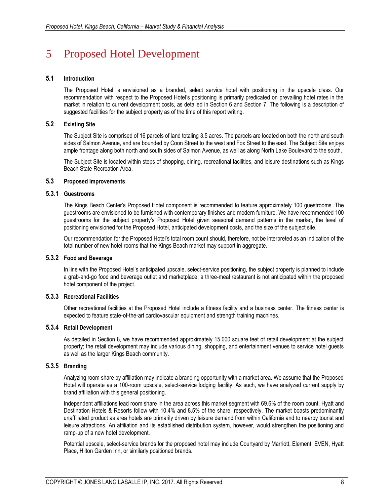# 5 Proposed Hotel Development

## **5.1 Introduction**

The Proposed Hotel is envisioned as a branded, select service hotel with positioning in the upscale class. Our recommendation with respect to the Proposed Hotel's positioning is primarily predicated on prevailing hotel rates in the market in relation to current development costs, as detailed in Section 6 and Section 7. The following is a description of suggested facilities for the subject property as of the time of this report writing.

## **5.2 Existing Site**

The Subject Site is comprised of 16 parcels of land totaling 3.5 acres. The parcels are located on both the north and south sides of Salmon Avenue, and are bounded by Coon Street to the west and Fox Street to the east. The Subject Site enjoys ample frontage along both north and south sides of Salmon Avenue, as well as along North Lake Boulevard to the south.

The Subject Site is located within steps of shopping, dining, recreational facilities, and leisure destinations such as Kings Beach State Recreation Area.

## **5.3 Proposed Improvements**

## **5.3.1 Guestrooms**

The Kings Beach Center's Proposed Hotel component is recommended to feature approximately 100 guestrooms. The guestrooms are envisioned to be furnished with contemporary finishes and modern furniture. We have recommended 100 guestrooms for the subject property's Proposed Hotel given seasonal demand patterns in the market, the level of positioning envisioned for the Proposed Hotel, anticipated development costs, and the size of the subject site.

Our recommendation for the Proposed Hotel's total room count should, therefore, not be interpreted as an indication of the total number of new hotel rooms that the Kings Beach market may support in aggregate.

## **5.3.2 Food and Beverage**

In line with the Proposed Hotel's anticipated upscale, select-service positioning, the subject property is planned to include a grab-and-go food and beverage outlet and marketplace; a three-meal restaurant is not anticipated within the proposed hotel component of the project.

## **5.3.3 Recreational Facilities**

Other recreational facilities at the Proposed Hotel include a fitness facility and a business center. The fitness center is expected to feature state-of-the-art cardiovascular equipment and strength training machines.

## **5.3.4 Retail Development**

As detailed in Section 8, we have recommended approximately 15,000 square feet of retail development at the subject property; the retail development may include various dining, shopping, and entertainment venues to service hotel guests as well as the larger Kings Beach community.

## **5.3.5 Branding**

Analyzing room share by affiliation may indicate a branding opportunity with a market area. We assume that the Proposed Hotel will operate as a 100-room upscale, select-service lodging facility. As such, we have analyzed current supply by brand affiliation with this general positioning.

Independent affiliations lead room share in the area across this market segment with 69.6% of the room count. Hyatt and Destination Hotels & Resorts follow with 10.4% and 8.5% of the share, respectively. The market boasts predominantly unaffiliated product as area hotels are primarily driven by leisure demand from within California and to nearby tourist and leisure attractions. An affiliation and its established distribution system, however, would strengthen the positioning and ramp-up of a new hotel development.

Potential upscale, select-service brands for the proposed hotel may include Courtyard by Marriott, Element, EVEN, Hyatt Place, Hilton Garden Inn, or similarly positioned brands.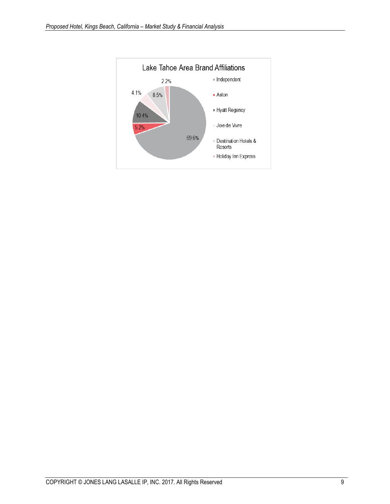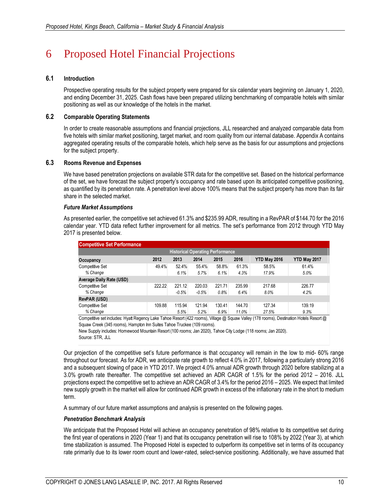# 6 Proposed Hotel Financial Projections

## **6.1 Introduction**

Prospective operating results for the subject property were prepared for six calendar years beginning on January 1, 2020, and ending December 31, 2025. Cash flows have been prepared utilizing benchmarking of comparable hotels with similar positioning as well as our knowledge of the hotels in the market.

## **6.2 Comparable Operating Statements**

In order to create reasonable assumptions and financial projections, JLL researched and analyzed comparable data from five hotels with similar market positioning, target market, and room quality from our internal database. Appendix A contains aggregated operating results of the comparable hotels, which help serve as the basis for our assumptions and projections for the subject property.

## **6.3 Rooms Revenue and Expenses**

We have based penetration projections on available STR data for the competitive set. Based on the historical performance of the set, we have forecast the subject property's occupancy and rate based upon its anticipated competitive positioning, as quantified by its penetration rate. A penetration level above 100% means that the subject property has more than its fair share in the selected market.

## *Future Market Assumptions*

As presented earlier, the competitive set achieved 61.3% and \$235.99 ADR, resulting in a RevPAR of \$144.70 for the 2016 calendar year. YTD data reflect further improvement for all metrics. The set's performance from 2012 through YTD May 2017 is presented below.

| <b>Competitive Set Performance</b>                                                              |        |         |         |        |        |        |        |  |  |  |  |  |  |
|-------------------------------------------------------------------------------------------------|--------|---------|---------|--------|--------|--------|--------|--|--|--|--|--|--|
| <b>Historical Operating Performance</b>                                                         |        |         |         |        |        |        |        |  |  |  |  |  |  |
| 2016<br><b>YTD May 2016</b><br>2012<br>2013<br>2014<br>2015<br><b>YTD May 2017</b><br>Occupancy |        |         |         |        |        |        |        |  |  |  |  |  |  |
| Competitive Set                                                                                 | 49.4%  | 52.4%   | 55.4%   | 58.8%  | 61.3%  | 58.5%  | 61.4%  |  |  |  |  |  |  |
| % Change                                                                                        |        | 6.1%    | 5.7%    | 6.1%   | 4.3%   | 17.9%  | 5.0%   |  |  |  |  |  |  |
| <b>Average Daily Rate (USD)</b>                                                                 |        |         |         |        |        |        |        |  |  |  |  |  |  |
| <b>Competitive Set</b>                                                                          | 222.22 | 221.12  | 220.03  | 221.71 | 235.99 | 217.68 | 226.77 |  |  |  |  |  |  |
| % Change                                                                                        |        | $-0.5%$ | $-0.5%$ | 0.8%   | 6.4%   | 8.0%   | 4.2%   |  |  |  |  |  |  |
| <b>RevPAR (USD)</b>                                                                             |        |         |         |        |        |        |        |  |  |  |  |  |  |
| <b>Competitive Set</b>                                                                          | 109.88 | 115.94  | 121.94  | 130.41 | 144.70 | 127.34 | 139.19 |  |  |  |  |  |  |
| % Change                                                                                        |        | 5.5%    | 5.2%    | 6.9%   | 11.0%  | 27.5%  | 9.3%   |  |  |  |  |  |  |

Competitive set includes: Hyatt Regency Lake Tahoe Resort (422 rooms), Village @ Squaw Valley (178 rooms), Destination Hotels Resort @ Squaw Creek (345 rooms), Hampton Inn Suites Tahoe Truckee (109 rooms).

New Supply includes: Homewood Mountain Resort (100 rooms; Jan 2020), Tahoe City Lodge (118 rooms; Jan 2020).

Source: STR, JLL

Our projection of the competitive set's future performance is that occupancy will remain in the low to mid- 60% range throughout our forecast. As for ADR, we anticipate rate growth to reflect 4.0% in 2017, following a particularly strong 2016 and a subsequent slowing of pace in YTD 2017. We project 4.0% annual ADR growth through 2020 before stabilizing at a 3.0% growth rate thereafter. The competitive set achieved an ADR CAGR of 1.5% for the period 2012 – 2016. JLL projections expect the competitive set to achieve an ADR CAGR of 3.4% for the period 2016 – 2025. We expect that limited new supply growth in the market will allow for continued ADR growth in excess of the inflationary rate in the short to medium term.

A summary of our future market assumptions and analysis is presented on the following pages.

## *Penetration Benchmark Analysis*

We anticipate that the Proposed Hotel will achieve an occupancy penetration of 98% relative to its competitive set during the first year of operations in 2020 (Year 1) and that its occupancy penetration will rise to 108% by 2022 (Year 3), at which time stabilization is assumed. The Proposed Hotel is expected to outperform its competitive set in terms of its occupancy rate primarily due to its lower room count and lower-rated, select-service positioning. Additionally, we have assumed that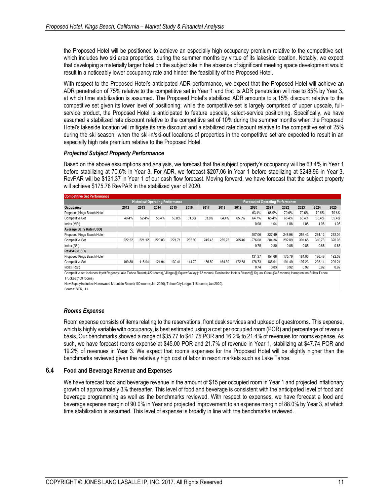the Proposed Hotel will be positioned to achieve an especially high occupancy premium relative to the competitive set, which includes two ski area properties, during the summer months by virtue of its lakeside location. Notably, we expect that developing a materially larger hotel on the subject site in the absence of significant meeting space development would result in a noticeably lower occupancy rate and hinder the feasibility of the Proposed Hotel.

With respect to the Proposed Hotel's anticipated ADR performance, we expect that the Proposed Hotel will achieve an ADR penetration of 75% relative to the competitive set in Year 1 and that its ADR penetration will rise to 85% by Year 3, at which time stabilization is assumed. The Proposed Hotel's stabilized ADR amounts to a 15% discount relative to the competitive set given its lower level of positioning; while the competitive set is largely comprised of upper upscale, fullservice product, the Proposed Hotel is anticipated to feature upscale, select-service positioning. Specifically, we have assumed a stabilized rate discount relative to the competitive set of 10% during the summer months when the Proposed Hotel's lakeside location will mitigate its rate discount and a stabilized rate discount relative to the competitive set of 25% during the ski season, when the ski-in/ski-out locations of properties in the competitive set are expected to result in an especially high rate premium relative to the Proposed Hotel.

#### *Projected Subject Property Performance*

Based on the above assumptions and analysis, we forecast that the subject property's occupancy will be 63.4% in Year 1 before stabilizing at 70.6% in Year 3. For ADR, we forecast \$207.06 in Year 1 before stabilizing at \$248.96 in Year 3. RevPAR will be \$131.37 in Year 1 of our cash flow forecast. Moving forward, we have forecast that the subject property will achieve \$175.78 RevPAR in the stabilized year of 2020.

| <b>Competitive Set Performance</b>                                                                                                                                                       |        |        |                                         |        |        |                                         |        |        |        |        |        |        |        |        |
|------------------------------------------------------------------------------------------------------------------------------------------------------------------------------------------|--------|--------|-----------------------------------------|--------|--------|-----------------------------------------|--------|--------|--------|--------|--------|--------|--------|--------|
|                                                                                                                                                                                          |        |        | <b>Historical Operating Performance</b> |        |        | <b>Forecasted Operating Performance</b> |        |        |        |        |        |        |        |        |
| Occupancy                                                                                                                                                                                | 2012   | 2013   | 2014                                    | 2015   | 2016   | 2017                                    | 2018   | 2019   | 2020   | 2021   | 2022   | 2023   | 2024   | 2025   |
| Proposed Kings Beach Hotel                                                                                                                                                               |        |        |                                         |        |        |                                         |        |        | 63.4%  | 68.0%  | 70.6%  | 70.6%  | 70.6%  | 70.6%  |
| Competitive Set                                                                                                                                                                          | 49.4%  | 52.4%  | 55.4%                                   | 58.8%  | 61.3%  | 63.8%                                   | 64.4%  | 65.0%  | 64.7%  | 65.4%  | 65.4%  | 65.4%  | 65.4%  | 65.4%  |
| Index (MPI)                                                                                                                                                                              |        |        |                                         |        |        |                                         |        |        | 0.98   | 1.04   | 1.08   | 1.08   | 1.08   | 1.08   |
| <b>Average Daily Rate (USD)</b>                                                                                                                                                          |        |        |                                         |        |        |                                         |        |        |        |        |        |        |        |        |
| Proposed Kings Beach Hotel                                                                                                                                                               |        |        |                                         |        |        |                                         |        |        | 207.06 | 227.49 | 248.96 | 256.43 | 264.12 | 272.04 |
| <b>Competitive Set</b>                                                                                                                                                                   | 222.22 | 221.12 | 220.03                                  | 221.71 | 235.99 | 245.43                                  | 255.25 | 265.46 | 276.08 | 284.36 | 292.89 | 301.68 | 310.73 | 320.05 |
| Index (ARI)                                                                                                                                                                              |        |        |                                         |        |        |                                         |        |        | 0.75   | 0.80   | 0.85   | 0.85   | 0.85   | 0.85   |
| <b>RevPAR (USD)</b>                                                                                                                                                                      |        |        |                                         |        |        |                                         |        |        |        |        |        |        |        |        |
| Proposed Kings Beach Hotel                                                                                                                                                               |        |        |                                         |        |        |                                         |        |        | 131.37 | 154.68 | 175.79 | 181.06 | 186.48 | 192.09 |
| Competitive Set                                                                                                                                                                          | 109.88 | 115.94 | 121.94                                  | 130.41 | 144.70 | 156.50                                  | 164.39 | 172.68 | 178.73 | 185.91 | 191.49 | 197.23 | 203.14 | 209.24 |
| Index (RGI)                                                                                                                                                                              |        |        |                                         |        |        |                                         |        |        | 0.74   | 0.83   | 0.92   | 0.92   | 0.92   | 0.92   |
| Competitive set includes: Hyatt Regency Lake Tahoe Resort (422 rooms), Village @ Squaw Valley (178 rooms), Destination Hotels Resort @ Squaw Creek (345 rooms), Hampton Inn Suites Tahoe |        |        |                                         |        |        |                                         |        |        |        |        |        |        |        |        |
| Truckee (109 rooms).                                                                                                                                                                     |        |        |                                         |        |        |                                         |        |        |        |        |        |        |        |        |

New Supply includes: Homewood Mountain Resort (100 rooms; Jan 2020), Tahoe City Lodge (118 rooms; Jan 2020).

Source: STR, JLL

## *Rooms Expense*

Room expense consists of items relating to the reservations, front desk services and upkeep of guestrooms. This expense, which is highly variable with occupancy, is best estimated using a cost per occupied room (POR) and percentage of revenue basis. Our benchmarks showed a range of \$35.77 to \$41.75 POR and 16.2% to 21.4% of revenues for rooms expense. As such, we have forecast rooms expense at \$45.00 POR and 21.7% of revenue in Year 1, stabilizing at \$47.74 POR and 19.2% of revenues in Year 3. We expect that rooms expenses for the Proposed Hotel will be slightly higher than the benchmarks reviewed given the relatively high cost of labor in resort markets such as Lake Tahoe.

## **6.4 Food and Beverage Revenue and Expenses**

We have forecast food and beverage revenue in the amount of \$15 per occupied room in Year 1 and projected inflationary growth of approximately 3% thereafter. This level of food and beverage is consistent with the anticipated level of food and beverage programming as well as the benchmarks reviewed. With respect to expenses, we have forecast a food and beverage expense margin of 90.0% in Year and projected improvement to an expense margin of 88.0% by Year 3, at which time stabilization is assumed. This level of expense is broadly in line with the benchmarks reviewed.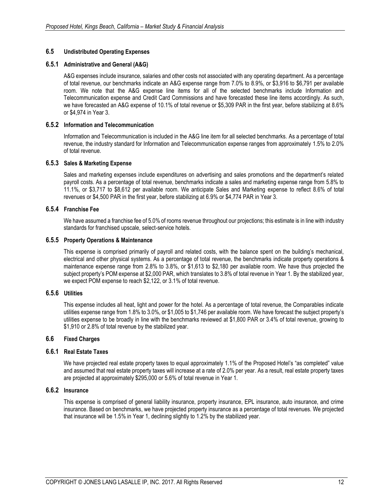## **6.5 Undistributed Operating Expenses**

## **6.5.1 Administrative and General (A&G)**

A&G expenses include insurance, salaries and other costs not associated with any operating department. As a percentage of total revenue, our benchmarks indicate an A&G expense range from 7.0% to 8.9%, or \$3,916 to \$6,791 per available room. We note that the A&G expense line items for all of the selected benchmarks include Information and Telecommunication expense and Credit Card Commissions and have forecasted these line items accordingly. As such, we have forecasted an A&G expense of 10.1% of total revenue or \$5,309 PAR in the first year, before stabilizing at 8.6% or \$4,974 in Year 3.

## **6.5.2 Information and Telecommunication**

Information and Telecommunication is included in the A&G line item for all selected benchmarks. As a percentage of total revenue, the industry standard for Information and Telecommunication expense ranges from approximately 1.5% to 2.0% of total revenue.

## **6.5.3 Sales & Marketing Expense**

Sales and marketing expenses include expenditures on advertising and sales promotions and the department's related payroll costs. As a percentage of total revenue, benchmarks indicate a sales and marketing expense range from 5.8% to 11.1%, or \$3,717 to \$8,612 per available room. We anticipate Sales and Marketing expense to reflect 8.6% of total revenues or \$4,500 PAR in the first year, before stabilizing at 6.9% or \$4,774 PAR in Year 3.

## **6.5.4 Franchise Fee**

We have assumed a franchise fee of 5.0% of rooms revenue throughout our projections; this estimate is in line with industry standards for franchised upscale, select-service hotels.

## **6.5.5 Property Operations & Maintenance**

This expense is comprised primarily of payroll and related costs, with the balance spent on the building's mechanical, electrical and other physical systems. As a percentage of total revenue, the benchmarks indicate property operations & maintenance expense range from 2.8% to 3.8%, or \$1,613 to \$2,180 per available room. We have thus projected the subject property's POM expense at \$2,000 PAR, which translates to 3.8% of total revenue in Year 1. By the stabilized year, we expect POM expense to reach \$2,122, or 3.1% of total revenue.

## **6.5.6 Utilities**

This expense includes all heat, light and power for the hotel. As a percentage of total revenue, the Comparables indicate utilities expense range from 1.8% to 3.0%, or \$1,005 to \$1,746 per available room. We have forecast the subject property's utilities expense to be broadly in line with the benchmarks reviewed at \$1,800 PAR or 3.4% of total revenue, growing to \$1,910 or 2.8% of total revenue by the stabilized year.

## **6.6 Fixed Charges**

## **6.6.1 Real Estate Taxes**

We have projected real estate property taxes to equal approximately 1.1% of the Proposed Hotel's "as completed" value and assumed that real estate property taxes will increase at a rate of 2.0% per year. As a result, real estate property taxes are projected at approximately \$295,000 or 5.6% of total revenue in Year 1.

## **6.6.2 Insurance**

This expense is comprised of general liability insurance, property insurance, EPL insurance, auto insurance, and crime insurance. Based on benchmarks, we have projected property insurance as a percentage of total revenues. We projected that insurance will be 1.5% in Year 1, declining slightly to 1.2% by the stabilized year.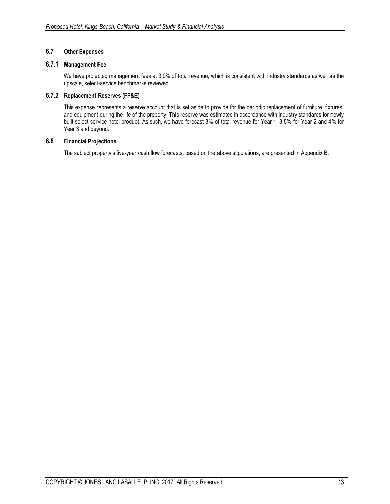## **6.7 Other Expenses**

## **6.7.1 Management Fee**

We have projected management fees at 3.0% of total revenue, which is consistent with industry standards as well as the upscale, select-service benchmarks reviewed.

## **6.7.2 Replacement Reserves (FF&E)**

This expense represents a reserve account that is set aside to provide for the periodic replacement of furniture, fixtures, and equipment during the life of the property. This reserve was estimated in accordance with industry standards for newly built select-service hotel product. As such, we have forecast 3% of total revenue for Year 1, 3.5% for Year 2 and 4% for Year 3 and beyond.

## **6.8 Financial Projections**

The subject property's five-year cash flow forecasts, based on the above stipulations, are presented in Appendix B.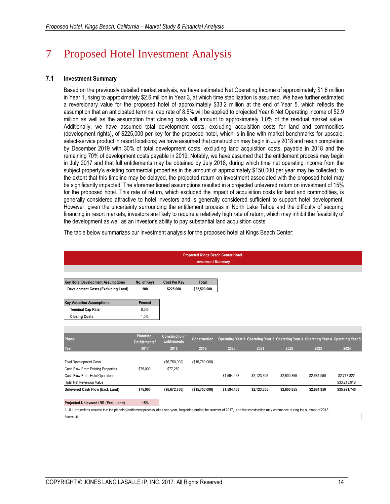# 7 Proposed Hotel Investment Analysis

## **7.1 Investment Summary**

Based on the previously detailed market analysis, we have estimated Net Operating Income of approximately \$1.6 million in Year 1, rising to approximately \$2.6 million in Year 3, at which time stabilization is assumed. We have further estimated a reversionary value for the proposed hotel of approximately \$33.2 million at the end of Year 5, which reflects the assumption that an anticipated terminal cap rate of 8.5% will be applied to projected Year 6 Net Operating Income of \$2.9 million as well as the assumption that closing costs will amount to approximately 1.0% of the residual market value. Additionally, we have assumed total development costs, excluding acquisition costs for land and commodities (development rights), of \$225,000 per key for the proposed hotel, which is in line with market benchmarks for upscale, select-service product in resort locations; we have assumed that construction may begin in July 2018 and reach completion by December 2019 with 30% of total development costs, excluding land acquisition costs, payable in 2018 and the remaining 70% of development costs payable in 2019. Notably, we have assumed that the entitlement process may begin in July 2017 and that full entitlements may be obtained by July 2018, during which time net operating income from the subject property's existing commercial properties in the amount of approximately \$150,000 per year may be collected; to the extent that this timeline may be delayed, the projected return on investment associated with the proposed hotel may be significantly impacted. The aforementioned assumptions resulted in a projected unlevered return on investment of 15% for the proposed hotel. This rate of return, which excluded the impact of acquisition costs for land and commodities, is generally considered attractive to hotel investors and is generally considered sufficient to support hotel development. However, given the uncertainty surrounding the entitlement process in North Lake Tahoe and the difficulty of securing financing in resort markets, investors are likely to require a relatively high rate of return, which may inhibit the feasibility of the development as well as an investor's ability to pay substantial land acquisition costs.

The table below summarizes our investment analysis for the proposed hotel at Kings Beach Center:

|                                          |                                         |                                              | <b>Investment Summary</b> | <b>Proposed Kings Beach Center Hotel</b> |             |             |             |                                                                                      |
|------------------------------------------|-----------------------------------------|----------------------------------------------|---------------------------|------------------------------------------|-------------|-------------|-------------|--------------------------------------------------------------------------------------|
|                                          |                                         |                                              |                           |                                          |             |             |             |                                                                                      |
| <b>Key Hotel Development Assumptions</b> | No. of Keys                             | <b>Cost Per Key</b>                          | <b>Total</b>              |                                          |             |             |             |                                                                                      |
| Development Costs (Excluding Land)       | 100                                     | \$225,000                                    | \$22,500,000              |                                          |             |             |             |                                                                                      |
| <b>Key Valuation Assumptions</b>         | Percent                                 |                                              |                           |                                          |             |             |             |                                                                                      |
| <b>Terminal Cap Rate</b>                 | 8.5%                                    |                                              |                           |                                          |             |             |             |                                                                                      |
| <b>Closing Costs</b>                     | 1.0%                                    |                                              |                           |                                          |             |             |             |                                                                                      |
|                                          |                                         |                                              |                           |                                          |             |             |             |                                                                                      |
|                                          |                                         |                                              |                           |                                          |             |             |             |                                                                                      |
| Phase                                    | Planning /<br>Entitlements <sup>1</sup> | <b>Construction /</b><br><b>Entitlements</b> | Construction              |                                          |             |             |             | Operating Year 1 Operating Year 2 Operating Year 3 Operating Year 4 Operating Year 5 |
| Year                                     | 2017                                    | 2018                                         | 2019                      | 2020                                     | 2021        | 2022        | 2023        | 2024                                                                                 |
| <b>Total Development Costs</b>           |                                         | (\$6,750,000)                                | (\$15,750,000)            |                                          |             |             |             |                                                                                      |
| Cash Flow From Existing Properties       | \$75,000                                | \$77,250                                     |                           |                                          |             |             |             |                                                                                      |
| Cash Flow From Hotel Operation           |                                         |                                              |                           | \$1,594,463                              | \$2,123,305 | \$2,600,855 | \$2,681,950 | \$2,777,822                                                                          |
| Hotel Net Reversion Value                |                                         |                                              |                           |                                          |             |             |             | \$33,213,918                                                                         |
| Unlevered Cash Flow (Excl. Land)         | \$75,000                                | (\$6,672,750)                                | (\$15,750,000)            | \$1,594,463                              | \$2,123,305 | \$2,600,855 | \$2,681,950 | \$35,991,740                                                                         |
| Projected Unlevered IRR (Excl. Land)     | 15%                                     |                                              |                           |                                          |             |             |             |                                                                                      |

1. JLL projections assume that the planning/entitlement process takes one year, beginning during the summer of 2017, and that construction may commence during the summer of 2018. Source: JLL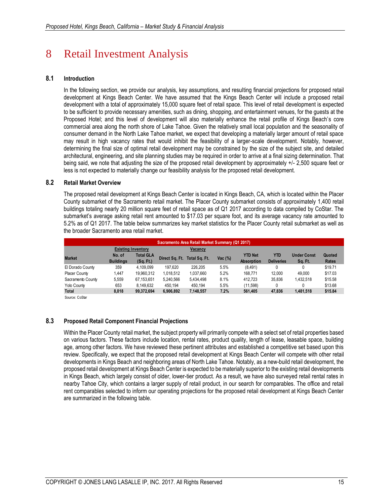# 8 Retail Investment Analysis

## **8.1 Introduction**

In the following section, we provide our analysis, key assumptions, and resulting financial projections for proposed retail development at Kings Beach Center. We have assumed that the Kings Beach Center will include a proposed retail development with a total of approximately 15,000 square feet of retail space. This level of retail development is expected to be sufficient to provide necessary amenities, such as dining, shopping, and entertainment venues, for the guests at the Proposed Hotel; and this level of development will also materially enhance the retail profile of Kings Beach's core commercial area along the north shore of Lake Tahoe. Given the relatively small local population and the seasonality of consumer demand in the North Lake Tahoe market, we expect that developing a materially larger amount of retail space may result in high vacancy rates that would inhibit the feasibility of a larger-scale development. Notably, however, determining the final size of optimal retail development may be constrained by the size of the subject site, and detailed architectural, engineering, and site planning studies may be required in order to arrive at a final sizing determination. That being said, we note that adjusting the size of the proposed retail development by approximately +/- 2,500 square feet or less is not expected to materially change our feasibility analysis for the proposed retail development.

## **8.2 Retail Market Overview**

The proposed retail development at Kings Beach Center is located in Kings Beach, CA, which is located within the Placer County submarket of the Sacramento retail market. The Placer County submarket consists of approximately 1,400 retail buildings totaling nearly 20 million square feet of retail space as of Q1 2017 according to data compiled by CoStar. The submarket's average asking retail rent amounted to \$17.03 per square foot, and its average vacancy rate amounted to 5.2% as of Q1 2017. The table below summarizes key market statistics for the Placer County retail submarket as well as the broader Sacramento area retail market.

|                                      | Sacramento Area Retail Market Summary (Q1 2017) |                  |           |                              |            |                   |                   |                    |         |  |  |  |  |  |
|--------------------------------------|-------------------------------------------------|------------------|-----------|------------------------------|------------|-------------------|-------------------|--------------------|---------|--|--|--|--|--|
| <b>Existing Inventory</b><br>Vacancy |                                                 |                  |           |                              |            |                   |                   |                    |         |  |  |  |  |  |
| <b>Market</b>                        | No. of                                          | <b>Total GLA</b> |           | Direct Sq. Ft. Total Sq. Ft. | Vac $(\%)$ | <b>YTD Net</b>    | <b>YTD</b>        | <b>Under Const</b> | Quoted  |  |  |  |  |  |
|                                      | <b>Buildings</b>                                |                  |           |                              |            | <b>Absorption</b> | <b>Deliveries</b> | Sq. Ft.            | Rates   |  |  |  |  |  |
| El Dorado County                     | 359                                             | 4.109.099        | 197.620   | 226.205                      | 5.5%       | (8, 491)          |                   | 0                  | \$19.71 |  |  |  |  |  |
| <b>Placer County</b>                 | 1.447                                           | 19.960.312       | 1,018,512 | 1.037.660                    | 5.2%       | 168.771           | 12.000            | 49.000             | \$17.03 |  |  |  |  |  |
| Sacramento County                    | 5.559                                           | 67.153.651       | 5.240.566 | 5.434.498                    | 8.1%       | 412.723           | 35.836            | 1.432.518          | \$15.58 |  |  |  |  |  |
| Yolo County                          | 653                                             | 8.149.632        | 450.194   | 450.194                      | 5.5%       | (11,598)          |                   | 0                  | \$13.68 |  |  |  |  |  |
| Total                                | 8.018                                           | 99.372.694       | 6.906.892 | 7.148.557                    | 7.2%       | 561.405           | 47.836            | 1.481.518          | \$15.84 |  |  |  |  |  |
| Source: CoStar                       |                                                 |                  |           |                              |            |                   |                   |                    |         |  |  |  |  |  |

## **8.3 Proposed Retail Component Financial Projections**

Within the Placer County retail market, the subject property will primarily compete with a select set of retail properties based on various factors. These factors include location, rental rates, product quality, length of lease, leasable space, building age, among other factors. We have reviewed these pertinent attributes and established a competitive set based upon this review. Specifically, we expect that the proposed retail development at Kings Beach Center will compete with other retail developments in Kings Beach and neighboring areas of North Lake Tahoe. Notably, as a new-build retail development, the proposed retail development at Kings Beach Center is expected to be materially superior to the existing retail developments in Kings Beach, which largely consist of older, lower-tier product. As a result, we have also surveyed retail rental rates in nearby Tahoe City, which contains a larger supply of retail product, in our search for comparables. The office and retail rent comparables selected to inform our operating projections for the proposed retail development at Kings Beach Center are summarized in the following table.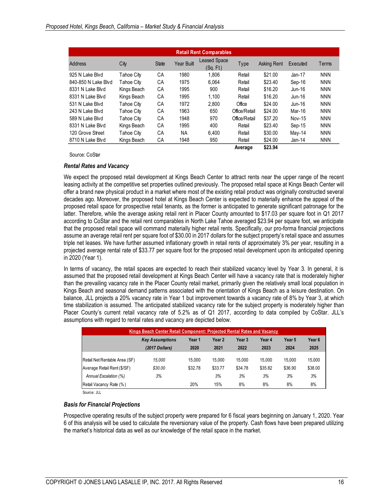| <b>Retail Rent Comparables</b> |             |              |                   |                                 |               |             |          |            |
|--------------------------------|-------------|--------------|-------------------|---------------------------------|---------------|-------------|----------|------------|
| Address                        | City        | <b>State</b> | <b>Year Built</b> | <b>Leased Space</b><br>(Sq. Ft) | Type          | Asking Rent | Executed | Terms      |
| 925 N Lake Blvd                | Tahoe City  | СA           | 1980              | 1.806                           | Retail        | \$21.00     | Jan-17   | <b>NNN</b> |
| 840-850 N Lake Blvd            | Tahoe Citv  | СA           | 1975              | 6.064                           | Retail        | \$23.40     | Sep-16   | <b>NNN</b> |
| 8331 N Lake Blvd               | Kings Beach | СA           | 1995              | 900                             | Retail        | \$16.20     | Jun-16   | <b>NNN</b> |
| 8331 N Lake Blvd               | Kings Beach | СA           | 1995              | 1.100                           | Retail        | \$16.20     | Jun-16   | <b>NNN</b> |
| 531 N Lake Blvd                | Tahoe City  | СA           | 1972              | 2.800                           | Office        | \$24.00     | Jun-16   | <b>NNN</b> |
| 243 N Lake Blvd                | Tahoe City  | CA           | 1963              | 650                             | Office/Retail | \$24.00     | Mar-16   | <b>NNN</b> |
| 589 N Lake Blvd                | Tahoe Citv  | СA           | 1948              | 970                             | Office/Retail | \$37.20     | Nov-15   | <b>NNN</b> |
| 8331 N Lake Blvd               | Kings Beach | CA           | 1995              | 400                             | Retail        | \$23.40     | Sep-15   | <b>NNN</b> |
| 120 Grove Street               | Tahoe City  | СA           | NA                | 6.400                           | Retail        | \$30.00     | May-14   | <b>NNN</b> |
| 8710 N Lake Blvd               | Kings Beach | СA           | 1948              | 950                             | Retail        | \$24.00     | Jan-14   | <b>NNN</b> |
|                                |             |              |                   |                                 | Average       | \$23.94     |          |            |

Source: CoStar

#### *Rental Rates and Vacancy*

We expect the proposed retail development at Kings Beach Center to attract rents near the upper range of the recent leasing activity at the competitive set properties outlined previously. The proposed retail space at Kings Beach Center will offer a brand new physical product in a market where most of the existing retail product was originally constructed several decades ago. Moreover, the proposed hotel at Kings Beach Center is expected to materially enhance the appeal of the proposed retail space for prospective retail tenants, as the former is anticipated to generate significant patronage for the latter. Therefore, while the average asking retail rent in Placer County amounted to \$17.03 per square foot in Q1 2017 according to CoStar and the retail rent comparables in North Lake Tahoe averaged \$23.94 per square foot, we anticipate that the proposed retail space will command materially higher retail rents. Specifically, our pro-forma financial projections assume an average retail rent per square foot of \$30.00 in 2017 dollars for the subject property's retail space and assumes triple net leases. We have further assumed inflationary growth in retail rents of approximately 3% per year, resulting in a projected average rental rate of \$33.77 per square foot for the proposed retail development upon its anticipated opening in 2020 (Year 1).

In terms of vacancy, the retail spaces are expected to reach their stabilized vacancy level by Year 3. In general, it is assumed that the proposed retail development at Kings Beach Center will have a vacancy rate that is moderately higher than the prevailing vacancy rate in the Placer County retail market, primarily given the relatively small local population in Kings Beach and seasonal demand patterns associated with the orientation of Kings Beach as a leisure destination. On balance, JLL projects a 20% vacancy rate in Year 1 but improvement towards a vacancy rate of 8% by Year 3, at which time stabilization is assumed. The anticipated stabilized vacancy rate for the subject property is moderately higher than Placer County's current retail vacancy rate of 5.2% as of Q1 2017, according to data compiled by CoStar. JLL's assumptions with regard to rental rates and vacancy are depicted below.

| Kings Beach Center Retail Component: Projected Rental Rates and Vacancy |                        |         |         |         |         |         |         |  |
|-------------------------------------------------------------------------|------------------------|---------|---------|---------|---------|---------|---------|--|
|                                                                         | <b>Key Assumptions</b> | Year 1  | Year 2  | Year 3  | Year 4  | Year 5  | Year 6  |  |
|                                                                         | (2017 Dollars)         | 2020    | 2021    | 2022    | 2023    | 2024    | 2025    |  |
| Retail Net Rentable Area (SF)                                           | 15.000                 | 15.000  | 15.000  | 15.000  | 15.000  | 15.000  | 15.000  |  |
| Average Retail Rent (\$/SF)                                             | \$30.00                | \$32.78 | \$33.77 | \$34.78 | \$35.82 | \$36.90 | \$38.00 |  |
| Annual Escalation (%)                                                   | 3%                     |         | 3%      | 3%      | 3%      | 3%      | 3%      |  |
| Retail Vacancy Rate (%)                                                 |                        | 20%     | 15%     | 8%      | 8%      | 8%      | 8%      |  |

Source: JLL

#### *Basis for Financial Projections*

Prospective operating results of the subject property were prepared for 6 fiscal years beginning on January 1, 2020. Year 6 of this analysis will be used to calculate the reversionary value of the property. Cash flows have been prepared utilizing the market's historical data as well as our knowledge of the retail space in the market.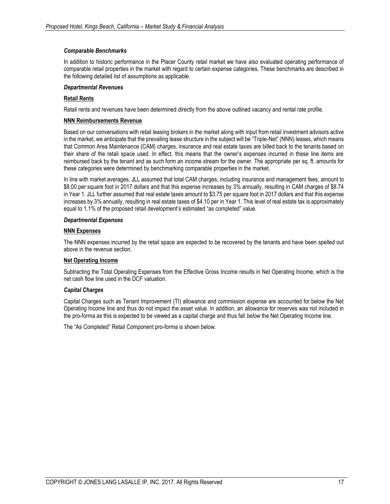## *Comparable Benchmarks*

In addition to historic performance in the Placer County retail market we have also evaluated operating performance of comparable retail properties in the market with regard to certain expense categories. These benchmarks are described in the following detailed list of assumptions as applicable.

## *Departmental Revenues*

## **Retail Rents**

Retail rents and revenues have been determined directly from the above outlined vacancy and rental rate profile.

#### **NNN Reimbursements Revenue**

Based on our conversations with retail leasing brokers in the market along with input from retail investment advisors active in the market, we anticipate that the prevailing lease structure in the subject will be "Triple-Net" (NNN) leases, which means that Common Area Maintenance (CAM) charges, insurance and real estate taxes are billed back to the tenants based on their share of the retail space used. In effect, this means that the owner's expenses incurred in these line items are reimbursed back by the tenant and as such form an income stream for the owner. The appropriate per sq. ft. amounts for these categories were determined by benchmarking comparable properties in the market.

In line with market averages, JLL assumed that total CAM charges, including insurance and management fees, amount to \$8.00 per square foot in 2017 dollars and that this expense increases by 3% annually, resulting in CAM charges of \$8.74 in Year 1. JLL further assumed that real estate taxes amount to \$3.75 per square foot in 2017 dollars and that this expense increases by 3% annually, resulting in real estate taxes of \$4.10 per in Year 1. This level of real estate tax is approximately equal to 1.1% of the proposed retail development's estimated "as completed" value.

#### *Departmental Expenses*

#### **NNN Expenses**

The NNN expenses incurred by the retail space are expected to be recovered by the tenants and have been spelled out above in the revenue section.

## **Net Operating Income**

Subtracting the Total Operating Expenses from the Effective Gross Income results in Net Operating Income, which is the net cash flow line used in the DCF valuation.

## *Capital Charges*

Capital Charges such as Tenant Improvement (TI) allowance and commission expense are accounted for below the Net Operating Income line and thus do not impact the asset value. In addition, an allowance for reserves was not included in the pro-forma as this is expected to be viewed as a capital charge and thus fall *below* the Net Operating Income line.

The "As Completed" Retail Component pro-forma is shown below.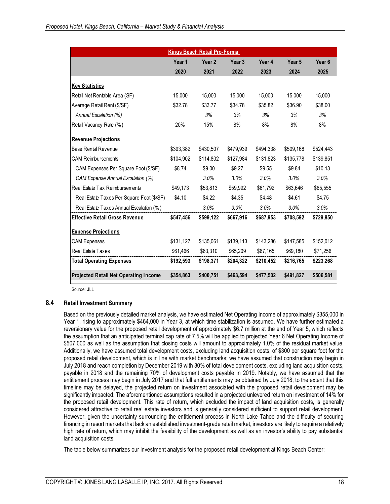|                                              |           | <b>Kings Beach Retail Pro-Forma</b> |           |           |                   |                   |
|----------------------------------------------|-----------|-------------------------------------|-----------|-----------|-------------------|-------------------|
|                                              | Year 1    | Year <sub>2</sub>                   | Year 3    | Year 4    | Year <sub>5</sub> | Year <sub>6</sub> |
|                                              | 2020      | 2021                                | 2022      | 2023      | 2024              | 2025              |
| <b>Key Statistics</b>                        |           |                                     |           |           |                   |                   |
| Retail Net Rentable Area (SF)                | 15,000    | 15,000                              | 15,000    | 15,000    | 15,000            | 15,000            |
| Average Retail Rent (\$/SF)                  | \$32.78   | \$33.77                             | \$34.78   | \$35.82   | \$36.90           | \$38.00           |
| Annual Escalation (%)                        |           | 3%                                  | 3%        | 3%        | 3%                | 3%                |
| Retail Vacancy Rate (%)                      | 20%       | 15%                                 | 8%        | 8%        | 8%                | 8%                |
| <b>Revenue Projections</b>                   |           |                                     |           |           |                   |                   |
| <b>Base Rental Revenue</b>                   | \$393,382 | \$430.507                           | \$479,939 | \$494.338 | \$509.168         | \$524,443         |
| <b>CAM Reimbursements</b>                    | \$104.902 | \$114.802                           | \$127,984 | \$131,823 | \$135,778         | \$139,851         |
| CAM Expenses Per Square Foot (\$/SF)         | \$8.74    | \$9.00                              | \$9.27    | \$9.55    | \$9.84            | \$10.13           |
| <b>CAM Expense Annual Escalation (%)</b>     |           | 3.0%                                | 3.0%      | 3.0%      | 3.0%              | 3.0%              |
| Real Estate Tax Reimbursements               | \$49,173  | \$53,813                            | \$59,992  | \$61,792  | \$63,646          | \$65,555          |
| Real Estate Taxes Per Square Foot (\$/SF)    | \$4.10    | \$4.22                              | \$4.35    | \$4.48    | \$4.61            | \$4.75            |
| Real Estate Taxes Annual Escalation (%)      |           | 3.0%                                | 3.0%      | 3.0%      | 3.0%              | 3.0%              |
| <b>Effective Retail Gross Revenue</b>        | \$547,456 | \$599,122                           | \$667,916 | \$687,953 | \$708,592         | \$729,850         |
| <b>Expense Projections</b>                   |           |                                     |           |           |                   |                   |
| <b>CAM Expenses</b>                          | \$131,127 | \$135,061                           | \$139,113 | \$143,286 | \$147,585         | \$152,012         |
| <b>Real Estate Taxes</b>                     | \$61,466  | \$63,310                            | \$65,209  | \$67,165  | \$69,180          | \$71,256          |
| <b>Total Operating Expenses</b>              | \$192,593 | \$198,371                           | \$204,322 | \$210,452 | \$216,765         | \$223,268         |
| <b>Projected Retail Net Operating Income</b> | \$354,863 | \$400,751                           | \$463,594 | \$477,502 | \$491,827         | \$506,581         |

Source: JLL

## **8.4 Retail Investment Summary**

Based on the previously detailed market analysis, we have estimated Net Operating Income of approximately \$355,000 in Year 1, rising to approximately \$464,000 in Year 3, at which time stabilization is assumed. We have further estimated a reversionary value for the proposed retail development of approximately \$6.7 million at the end of Year 5, which reflects the assumption that an anticipated terminal cap rate of 7.5% will be applied to projected Year 6 Net Operating Income of \$507,000 as well as the assumption that closing costs will amount to approximately 1.0% of the residual market value. Additionally, we have assumed total development costs, excluding land acquisition costs, of \$300 per square foot for the proposed retail development, which is in line with market benchmarks; we have assumed that construction may begin in July 2018 and reach completion by December 2019 with 30% of total development costs, excluding land acquisition costs, payable in 2018 and the remaining 70% of development costs payable in 2019. Notably, we have assumed that the entitlement process may begin in July 2017 and that full entitlements may be obtained by July 2018; to the extent that this timeline may be delayed, the projected return on investment associated with the proposed retail development may be significantly impacted. The aforementioned assumptions resulted in a projected unlevered return on investment of 14% for the proposed retail development. This rate of return, which excluded the impact of land acquisition costs, is generally considered attractive to retail real estate investors and is generally considered sufficient to support retail development. However, given the uncertainty surrounding the entitlement process in North Lake Tahoe and the difficulty of securing financing in resort markets that lack an established investment-grade retail market, investors are likely to require a relatively high rate of return, which may inhibit the feasibility of the development as well as an investor's ability to pay substantial land acquisition costs.

The table below summarizes our investment analysis for the proposed retail development at Kings Beach Center: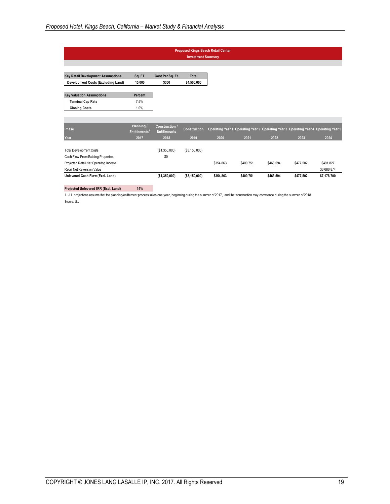|                                           |                                         |                                              | <b>Investment Summary</b> | <b>Proposed Kings Beach Retail Center</b> |           |           |                                                                                      |             |
|-------------------------------------------|-----------------------------------------|----------------------------------------------|---------------------------|-------------------------------------------|-----------|-----------|--------------------------------------------------------------------------------------|-------------|
|                                           |                                         |                                              |                           |                                           |           |           |                                                                                      |             |
| <b>Key Retail Development Assumptions</b> | Sq. FT.                                 | Cost Per Sq. Ft.                             | <b>Total</b>              |                                           |           |           |                                                                                      |             |
| Development Costs (Excluding Land)        | 15.000                                  | \$300                                        | \$4,500,000               |                                           |           |           |                                                                                      |             |
| <b>Key Valuation Assumptions</b>          | Percent                                 |                                              |                           |                                           |           |           |                                                                                      |             |
| <b>Terminal Cap Rate</b>                  | 7.5%                                    |                                              |                           |                                           |           |           |                                                                                      |             |
| <b>Closing Costs</b>                      | 1.0%                                    |                                              |                           |                                           |           |           |                                                                                      |             |
|                                           |                                         |                                              |                           |                                           |           |           |                                                                                      |             |
| <b>Phase</b>                              | Planning /<br>Entitlements <sup>1</sup> | <b>Construction /</b><br><b>Entitlements</b> | <b>Construction</b>       |                                           |           |           | Operating Year 1 Operating Year 2 Operating Year 3 Operating Year 4 Operating Year 5 |             |
| Year                                      | 2017                                    | 2018                                         | 2019                      | 2020                                      | 2021      | 2022      | 2023                                                                                 | 2024        |
| <b>Total Development Costs</b>            |                                         | (\$1,350,000)                                | (\$3,150,000)             |                                           |           |           |                                                                                      |             |
| Cash Flow From Existing Properties        |                                         | \$0                                          |                           |                                           |           |           |                                                                                      |             |
| Projected Retail Net Operating Income     |                                         |                                              |                           | \$354.863                                 | \$400.751 | \$463.594 | \$477,502                                                                            | \$491,827   |
| Retail Net Reversion Value                |                                         |                                              |                           |                                           |           |           |                                                                                      | \$6,686,874 |
| Unlevered Cash Flow (Excl. Land)          |                                         | ( \$1,350,000)                               | (\$3,150,000)             | \$354,863                                 | \$400,751 | \$463,594 | \$477,502                                                                            | \$7,178,700 |
|                                           |                                         |                                              |                           |                                           |           |           |                                                                                      |             |

#### **Projected Unlevered IRR (Excl. Land) 14%**

1. JLL projections assume that the planning/entitlement process takes one year, beginning during the summer of 2017, and that construction may commence during the summer of 2018. Source: JLL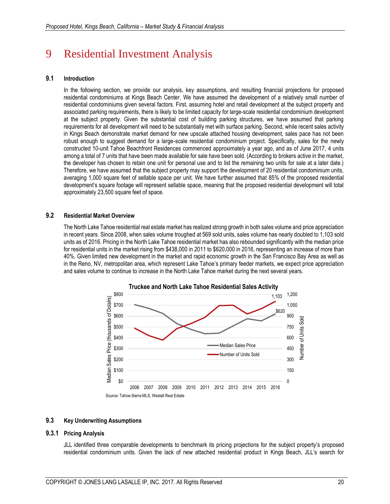# 9 Residential Investment Analysis

## **9.1 Introduction**

In the following section, we provide our analysis, key assumptions, and resulting financial projections for proposed residential condominiums at Kings Beach Center. We have assumed the development of a relatively small number of residential condominiums given several factors. First, assuming hotel and retail development at the subject property and associated parking requirements, there is likely to be limited capacity for large-scale residential condominium development at the subject property. Given the substantial cost of building parking structures, we have assumed that parking requirements for all development will need to be substantially met with surface parking. Second, while recent sales activity in Kings Beach demonstrate market demand for new upscale attached housing development, sales pace has not been robust enough to suggest demand for a large-scale residential condominium project. Specifically, sales for the newly constructed 10-unit Tahoe Beachfront Residences commenced approximately a year ago, and as of June 2017, 4 units among a total of 7 units that have been made available for sale have been sold. (According to brokers active in the market, the developer has chosen to retain one unit for personal use and to list the remaining two units for sale at a later date.) Therefore, we have assumed that the subject property may support the development of 20 residential condominium units, averaging 1,000 square feet of sellable space per unit. We have further assumed that 85% of the proposed residential development's square footage will represent sellable space, meaning that the proposed residential development will total approximately 23,500 square feet of space.

## **9.2 Residential Market Overview**

The North Lake Tahoe residential real estate market has realized strong growth in both sales volume and price appreciation in recent years. Since 2008, when sales volume troughed at 569 sold units, sales volume has nearly doubled to 1,103 sold units as of 2016. Pricing in the North Lake Tahoe residential market has also rebounded significantly with the median price for residential units in the market rising from \$438,000 in 2011 to \$620,000 in 2016, representing an increase of more than 40%. Given limited new development in the market and rapid economic growth in the San Francisco Bay Area as well as in the Reno, NV, metropolitan area, which represent Lake Tahoe's primary feeder markets, we expect price appreciation and sales volume to continue to increase in the North Lake Tahoe market during the next several years.



## **9.3 Key Underwriting Assumptions**

#### **9.3.1 Pricing Analysis**

JLL identified three comparable developments to benchmark its pricing projections for the subject property's proposed residential condominium units. Given the lack of new attached residential product in Kings Beach, JLL's search for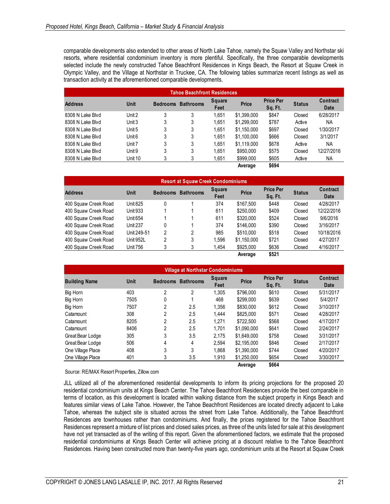comparable developments also extended to other areas of North Lake Tahoe, namely the Squaw Valley and Northstar ski resorts, where residential condominium inventory is more plentiful. Specifically, the three comparable developments selected include the newly constructed Tahoe Beachfront Residences in Kings Beach, the Resort at Squaw Creek in Olympic Valley, and the Village at Northstar in Truckee, CA. The following tables summarize recent listings as well as transaction activity at the aforementioned comparable developments.

| <b>Tahoe Beachfront Residences</b> |         |                 |                  |                       |              |                             |               |                         |
|------------------------------------|---------|-----------------|------------------|-----------------------|--------------|-----------------------------|---------------|-------------------------|
| <b>Address</b>                     | Unit    | <b>Bedrooms</b> | <b>Bathrooms</b> | <b>Square</b><br>Feet | <b>Price</b> | <b>Price Per</b><br>Sq. Ft. | <b>Status</b> | <b>Contract</b><br>Date |
| 8308 N Lake Blvd                   | Unit 2  | 3               | 3                | 1.651                 | \$1,399,000  | \$847                       | Closed        | 6/28/2017               |
| 8308 N Lake Blvd                   | Unit 3  | 3               | 3                | 1.651                 | \$1,299,000  | \$787                       | Active        | NA                      |
| 8308 N Lake Blvd                   | Unit 5  | 3               | 3                | 1.651                 | \$1,150,000  | \$697                       | Closed        | 1/30/2017               |
| 8308 N Lake Blvd                   | Unit 6  | 3               | 3                | 1.651                 | \$1,100,000  | \$666                       | Closed        | 3/1/2017                |
| 8308 N Lake Blvd                   | Unit 7  | 3               | 3                | 1.651                 | \$1.119.000  | \$678                       | Active        | NA                      |
| 8308 N Lake Blvd                   | Unit 9  | 3               | 3                | 1.651                 | \$950,000    | \$575                       | Closed        | 12/27/2016              |
| 8308 N Lake Blyd                   | Unit 10 | 3               | 3                | 1.651                 | \$999,000    | \$605                       | Active        | NA                      |
|                                    |         |                 |                  |                       | Average      | \$694                       |               |                         |

| <b>Resort at Squaw Creek Condominiums</b> |                 |                 |                  |                       |              |                             |               |                  |
|-------------------------------------------|-----------------|-----------------|------------------|-----------------------|--------------|-----------------------------|---------------|------------------|
| <b>Address</b>                            | Unit            | <b>Bedrooms</b> | <b>Bathrooms</b> | <b>Square</b><br>Feet | <b>Price</b> | <b>Price Per</b><br>Sq. Ft. | <b>Status</b> | Contract<br>Date |
| 400 Squaw Creek Road                      | <b>Unit 825</b> | 0               |                  | 374                   | \$167.500    | \$448                       | Closed        | 4/28/2017        |
| 400 Squaw Creek Road                      | Unit 933        |                 |                  | 611                   | \$250,000    | \$409                       | Closed        | 12/22/2016       |
| 400 Squaw Creek Road                      | <b>Unit 654</b> |                 |                  | 611                   | \$320,000    | \$524                       | Closed        | 9/6/2016         |
| 400 Squaw Creek Road                      | <b>Unit 237</b> | 0               |                  | 374                   | \$146,000    | \$390                       | Closed        | 3/16/2017        |
| 400 Squaw Creek Road                      | Unit 249-51     | 2               | 2                | 985                   | \$510,000    | \$518                       | Closed        | 10/18/2016       |
| 400 Squaw Creek Road                      | Unit 952L       | 2               | 3                | 1.596                 | \$1,150,000  | \$721                       | Closed        | 4/27/2017        |
| 400 Squaw Creek Road                      | <b>Unit 756</b> | 3               | 3                | 1.454                 | \$925,000    | \$636                       | Closed        | 4/16/2017        |
|                                           |                 |                 |                  |                       | Average      | \$521                       |               |                  |

| <b>Village at Northstar Condominiums</b> |             |                 |                  |                       |              |                             |               |                  |
|------------------------------------------|-------------|-----------------|------------------|-----------------------|--------------|-----------------------------|---------------|------------------|
| <b>Building Name</b>                     | <b>Unit</b> | <b>Bedrooms</b> | <b>Bathrooms</b> | <b>Square</b><br>Feet | <b>Price</b> | <b>Price Per</b><br>Sq. Ft. | <b>Status</b> | Contract<br>Date |
| <b>Big Horn</b>                          | 403         | 2               | 2                | 1.305                 | \$796,000    | \$610                       | Closed        | 5/31/2017        |
| <b>Big Horn</b>                          | 7505        | 0               |                  | 468                   | \$299,000    | \$639                       | Closed        | 5/4/2017         |
| Big Horn                                 | 7507        | 2               | 2.5              | 1.356                 | \$830,000    | \$612                       | Closed        | 3/10/2017        |
| Catamount                                | 308         | 2               | 2.5              | 1.444                 | \$825,000    | \$571                       | Closed        | 4/28/2017        |
| Catamount                                | 8205        | 2               | 2.5              | 1.271                 | \$722,500    | \$568                       | Closed        | 4/17/2017        |
| Catamount                                | 8406        | 2               | 2.5              | 1.701                 | \$1,090,000  | \$641                       | Closed        | 2/24/2017        |
| Great Bear Lodge                         | 305         | 3               | 3.5              | 2.175                 | \$1.649.000  | \$758                       | Closed        | 3/31/2017        |
| Great Bear Lodge                         | 506         | 4               | 4                | 2.594                 | \$2,195,000  | \$846                       | Closed        | 2/17/2017        |
| One Village Place                        | 408         | 3               | 3                | 1.868                 | \$1.390.000  | \$744                       | Closed        | 4/20/2017        |
| One Village Place                        | 401         | 3               | 3.5              | 1.910                 | \$1.250.000  | \$654                       | Closed        | 3/30/2017        |
|                                          |             |                 |                  |                       | Average      | \$664                       |               |                  |

Source: RE/MAX Resort Properties, Zillow.com

JLL utilized all of the aforementioned residential developments to inform its pricing projections for the proposed 20 residential condominium units at Kings Beach Center. The Tahoe Beachfront Residences provide the best comparable in terms of location, as this development is located within walking distance from the subject property in Kings Beach and features similar views of Lake Tahoe. However, the Tahoe Beachfront Residences are located directly adjacent to Lake Tahoe, whereas the subject site is situated across the street from Lake Tahoe. Additionally, the Tahoe Beachfront Residences are townhouses rather than condominiums. And finally, the prices registered for the Tahoe Beachfront Residences represent a mixture of list prices and closed sales prices, as three of the units listed for sale at this development have not yet transacted as of the writing of this report. Given the aforementioned factors, we estimate that the proposed residential condominiums at Kings Beach Center will achieve pricing at a discount relative to the Tahoe Beachfront Residences. Having been constructed more than twenty-five years ago, condominium units at the Resort at Squaw Creek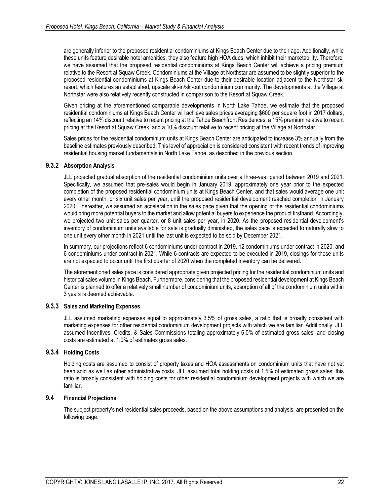are generally inferior to the proposed residential condominiums at Kings Beach Center due to their age. Additionally, while these units feature desirable hotel amenities, they also feature high HOA dues, which inhibit their marketability. Therefore, we have assumed that the proposed residential condominiums at Kings Beach Center will achieve a pricing premium relative to the Resort at Squaw Creek. Condominiums at the Village at Northstar are assumed to be slightly superior to the proposed residential condominiums at Kings Beach Center due to their desirable location adjacent to the Northstar ski resort, which features an established, upscale ski-in/ski-out condominium community. The developments at the Village at Northstar were also relatively recently constructed in comparison to the Resort at Squaw Creek.

Given pricing at the aforementioned comparable developments in North Lake Tahoe, we estimate that the proposed residential condominiums at Kings Beach Center will achieve sales prices averaging \$600 per square foot in 2017 dollars, reflecting an 14% discount relative to recent pricing at the Tahoe Beachfront Residences, a 15% premium relative to recent pricing at the Resort at Squaw Creek, and a 10% discount relative to recent pricing at the Village at Northstar.

Sales prices for the residential condominium units at Kings Beach Center are anticipated to increase 3% annually from the baseline estimates previously described. This level of appreciation is considered consistent with recent trends of improving residential housing market fundamentals in North Lake Tahoe, as described in the previous section.

## **9.3.2 Absorption Analysis**

JLL projected gradual absorption of the residential condominium units over a three-year period between 2019 and 2021. Specifically, we assumed that pre-sales would begin in January 2019, approximately one year prior to the expected completion of the proposed residential condominium units at Kings Beach Center, and that sales would average one unit every other month, or six unit sales per year, until the proposed residential development reached completion in January 2020. Thereafter, we assumed an acceleration in the sales pace given that the opening of the residential condominiums would bring more potential buyers to the market and allow potential buyers to experience the product firsthand. Accordingly, we projected two unit sales per quarter, or 8 unit sales per year, in 2020. As the proposed residential development's inventory of condominium units available for sale is gradually diminished, the sales pace is expected to naturally slow to one unit every other month in 2021 until the last unit is expected to be sold by December 2021.

In summary, our projections reflect 6 condominiums under contract in 2019, 12 condominiums under contract in 2020, and 6 condominiums under contract in 2021. While 6 contracts are expected to be executed in 2019, closings for those units are not expected to occur until the first quarter of 2020 when the completed inventory can be delivered.

The aforementioned sales pace is considered appropriate given projected pricing for the residential condominium units and historical sales volume in Kings Beach. Furthermore, considering that the proposed residential development at Kings Beach Center is planned to offer a relatively small number of condominium units, absorption of all of the condominium units within 3 years is deemed achievable.

## **9.3.3 Sales and Marketing Expenses**

JLL assumed marketing expenses equal to approximately 3.5% of gross sales, a ratio that is broadly consistent with marketing expenses for other residential condominium development projects with which we are familiar. Additionally, JLL assumed Incentives, Credits, & Sales Commissions totaling approximately 6.0% of estimated gross sales, and closing costs are estimated at 1.0% of estimates gross sales.

## **9.3.4 Holding Costs**

Holding costs are assumed to consist of property taxes and HOA assessments on condominium units that have not yet been sold as well as other administrative costs. JLL assumed total holding costs of 1.5% of estimated gross sales; this ratio is broadly consistent with holding costs for other residential condominium development projects with which we are familiar.

## **9.4 Financial Projections**

The subject property's net residential sales proceeds, based on the above assumptions and analysis, are presented on the following page.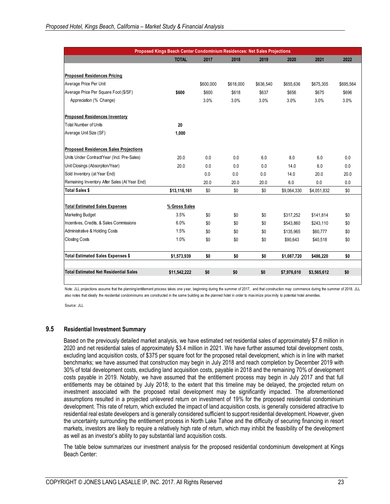|                                               | Proposed Kings Beach Center Condominium Residences: Net Sales Projections |           |           |           |             |             |           |
|-----------------------------------------------|---------------------------------------------------------------------------|-----------|-----------|-----------|-------------|-------------|-----------|
|                                               | <b>TOTAL</b>                                                              | 2017      | 2018      | 2019      | 2020        | 2021        | 2022      |
| <b>Proposed Residences Pricing</b>            |                                                                           |           |           |           |             |             |           |
| Average Price Per Unit                        |                                                                           | \$600,000 | \$618,000 | \$636,540 | \$655,636   | \$675,305   | \$695,564 |
| Average Price Per Square Foot (\$/SF)         | \$600                                                                     | \$600     | \$618     | \$637     | \$656       | \$675       | \$696     |
| Appreciation (% Change)                       |                                                                           | 3.0%      | 3.0%      | 3.0%      | 3.0%        | 3.0%        | 3.0%      |
|                                               |                                                                           |           |           |           |             |             |           |
| <b>Proposed Residences Inventory</b>          |                                                                           |           |           |           |             |             |           |
| <b>Total Number of Units</b>                  | 20                                                                        |           |           |           |             |             |           |
| Average Unit Size (SF)                        | 1,000                                                                     |           |           |           |             |             |           |
| <b>Proposed Residences Sales Projections</b>  |                                                                           |           |           |           |             |             |           |
| Units Under Contract/Year (Incl. Pre-Sales)   | 20.0                                                                      | 0.0       | 0.0       | 6.0       | 8.0         | 6.0         | 0.0       |
| Unit Closings (Absorption/Year)               | 20.0                                                                      | 0.0       | 0.0       | 0.0       | 14.0        | 6.0         | 0.0       |
| Sold Inventory (at Year End)                  |                                                                           | 0.0       | 0.0       | 0.0       | 14.0        | 20.0        | 20.0      |
| Remaining Inventory After Sales (At Year End) |                                                                           | 20.0      | 20.0      | 20.0      | 6.0         | 0.0         | 0.0       |
| <b>Total Sales \$</b>                         | \$13,116,161                                                              | \$0       | \$0       | \$0       | \$9,064,330 | \$4,051,832 | \$0       |
| <b>Total Estimated Sales Expenses</b>         | % Gross Sales                                                             |           |           |           |             |             |           |
| <b>Marketing Budget</b>                       | 3.5%                                                                      | \$0       | \$0       | \$0       | \$317,252   | \$141,814   | \$0       |
| Incentives, Credits, & Sales Commissions      | 6.0%                                                                      | \$0       | \$0       | \$0       | \$543,860   | \$243,110   | \$0       |
| Administrative & Holding Costs                | 1.5%                                                                      | \$0       | \$0       | \$0       | \$135,965   | \$60,777    | \$0       |
| <b>Closting Costs</b>                         | 1.0%                                                                      | \$0       | \$0       | \$0       | \$90,643    | \$40,518    | \$0       |
|                                               |                                                                           |           |           |           |             |             |           |
| <b>Total Estimated Sales Expenses \$</b>      | \$1,573,939                                                               | \$0       | \$0       | \$0       | \$1,087,720 | \$486,220   | \$0       |
|                                               |                                                                           |           |           |           |             |             |           |

Source: JLL

## **9.5 Residential Investment Summary**

Based on the previously detailed market analysis, we have estimated net residential sales of approximately \$7.6 million in 2020 and net residential sales of approximately \$3.4 million in 2021. We have further assumed total development costs, excluding land acquisition costs, of \$375 per square foot for the proposed retail development, which is in line with market benchmarks; we have assumed that construction may begin in July 2018 and reach completion by December 2019 with 30% of total development costs, excluding land acquisition costs, payable in 2018 and the remaining 70% of development costs payable in 2019. Notably, we have assumed that the entitlement process may begin in July 2017 and that full entitlements may be obtained by July 2018; to the extent that this timeline may be delayed, the projected return on investment associated with the proposed retail development may be significantly impacted. The aforementioned assumptions resulted in a projected unlevered return on investment of 19% for the proposed residential condominium development. This rate of return, which excluded the impact of land acquisition costs, is generally considered attractive to residential real estate developers and is generally considered sufficient to support residential development. However, given the uncertainty surrounding the entitlement process in North Lake Tahoe and the difficulty of securing financing in resort markets, investors are likely to require a relatively high rate of return, which may inhibit the feasibility of the development as well as an investor's ability to pay substantial land acquisition costs.

The table below summarizes our investment analysis for the proposed residential condominium development at Kings Beach Center: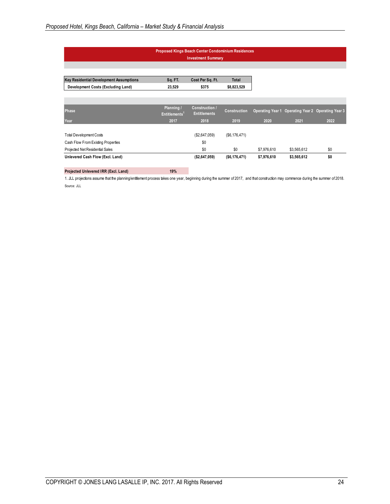| <b>Proposed Kings Beach Center Condominium Residences</b> |
|-----------------------------------------------------------|
|-----------------------------------------------------------|

**Investment Summary**

| <b>Key Residential Development Assumptions</b> | Sq.FT.                                  | Cost Per Sq. Ft.                             | <b>Total</b>   |             |                                                    |      |
|------------------------------------------------|-----------------------------------------|----------------------------------------------|----------------|-------------|----------------------------------------------------|------|
| Development Costs (Excluding Land)             | 23,529                                  | \$375                                        | \$8,823,529    |             |                                                    |      |
|                                                |                                         |                                              |                |             |                                                    |      |
| Phase                                          | Planning /<br>Entitlements <sup>1</sup> | <b>Construction /</b><br><b>Entitlements</b> | Construction   |             | Operating Year 1 Operating Year 2 Operating Year 3 |      |
| Year                                           | 2017                                    | 2018                                         | 2019           | 2020        | 2021                                               | 2022 |
| <b>Total Development Costs</b>                 |                                         | (\$2,647,059)                                | (S6, 176, 471) |             |                                                    |      |
| Cash Flow From Existing Properties             |                                         | \$0                                          |                |             |                                                    |      |
| Projected Net Residential Sales                |                                         | \$0                                          | \$0            | \$7,976,610 | \$3,565,612                                        | \$0  |
| Unlevered Cash Flow (Excl. Land)               |                                         | (\$2,647,059)                                | ( \$6,176,471) | \$7,976,610 | \$3,565,612                                        | \$0  |

#### **Projected Unlevered IRR (Excl. Land) 19%**

1. JLL projections assume that the planning/entitlement process takes one year, beginning during the summer of 2017, and that construction may commence during the summer of 2018. Source: JLL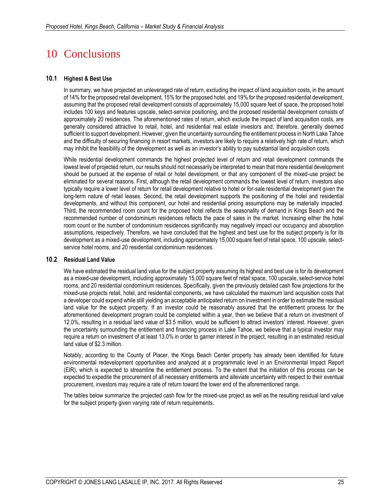# 10 Conclusions

## **10.1 Highest & Best Use**

In summary, we have projected an unleveraged rate of return, excluding the impact of land acquisition costs, in the amount of 14% for the proposed retail development, 15% for the proposed hotel, and 19% for the proposed residential development, assuming that the proposed retail development consists of approximately 15,000 square feet of space, the proposed hotel includes 100 keys and features upscale, select-service positioning, and the proposed residential development consists of approximately 20 residences. The aforementioned rates of return, which exclude the impact of land acquisition costs, are generally considered attractive to retail, hotel, and residential real estate investors and, therefore, generally deemed sufficient to support development. However, given the uncertainty surrounding the entitlement process in North Lake Tahoe and the difficulty of securing financing in resort markets, investors are likely to require a relatively high rate of return, which may inhibit the feasibility of the development as well as an investor's ability to pay substantial land acquisition costs.

While residential development commands the highest projected level of return and retail development commands the lowest level of projected return, our results should not necessarily be interpreted to mean that more residential development should be pursued at the expense of retail or hotel development, or that any component of the mixed-use project be eliminated for several reasons. First, although the retail development commands the lowest level of return, investors also typically require a lower level of return for retail development relative to hotel or for-sale residential development given the long-term nature of retail leases. Second, the retail development supports the positioning of the hotel and residential developments, and without this component, our hotel and residential pricing assumptions may be materially impacted. Third, the recommended room count for the proposed hotel reflects the seasonality of demand in Kings Beach and the recommended number of condominium residences reflects the pace of sales in the market. Increasing either the hotel room count or the number of condominium residences significantly may negatively impact our occupancy and absorption assumptions, respectively. Therefore, we have concluded that the highest and best use for the subject property is for its development as a mixed-use development, including approximately 15,000 square feet of retail space, 100 upscale, selectservice hotel rooms, and 20 residential condominium residences.

## **10.2 Residual Land Value**

We have estimated the residual land value for the subject property assuming its highest and best use is for its development as a mixed-use development, including approximately 15,000 square feet of retail space, 100 upscale, select-service hotel rooms, and 20 residential condominium residences. Specifically, given the previously detailed cash flow projections for the mixed-use projects retail, hotel, and residential components, we have calculated the maximum land acquisition costs that a developer could expend while still yielding an acceptable anticipated return on investment in order to estimate the residual land value for the subject property. If an investor could be reasonably assured that the entitlement process for the aforementioned development program could be completed within a year, then we believe that a return on investment of 12.0%, resulting in a residual land value of \$3.5 million, would be sufficient to attract investors' interest. However, given the uncertainty surrounding the entitlement and financing process in Lake Tahoe, we believe that a typical investor may require a return on investment of at least 13.0% in order to garner interest in the project, resulting in an estimated residual land value of \$2.3 million.

Notably, according to the County of Placer, the Kings Beach Center property has already been identified for future environmental redevelopment opportunities and analyzed at a programmatic level in an Environmental Impact Report (EIR), which is expected to streamline the entitlement process. To the extent that the initiation of this process can be expected to expedite the procurement of all necessary entitlements and alleviate uncertainty with respect to their eventual procurement, investors may require a rate of return toward the lower end of the aforementioned range.

The tables below summarize the projected cash flow for the mixed-use project as well as the resulting residual land value for the subject property given varying rate of return requirements.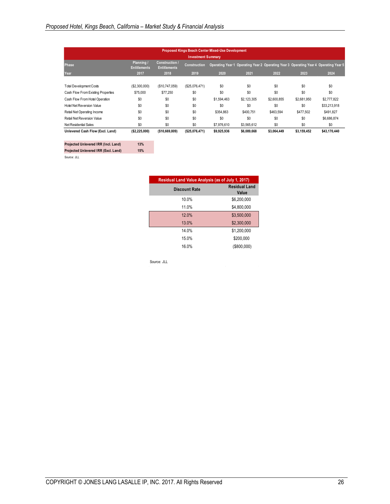|                                    |                                   |                                              |                           | <b>Proposed Kings Beach Center Mixed-Use Development</b> |             |             |                                                                                      |              |
|------------------------------------|-----------------------------------|----------------------------------------------|---------------------------|----------------------------------------------------------|-------------|-------------|--------------------------------------------------------------------------------------|--------------|
|                                    |                                   |                                              | <b>Investment Summary</b> |                                                          |             |             |                                                                                      |              |
| Phase                              | Planning /<br><b>Entitlements</b> | <b>Construction /</b><br><b>Entitlements</b> | <b>Construction</b>       |                                                          |             |             | Operating Year 1 Operating Year 2 Operating Year 3 Operating Year 4 Operating Year 5 |              |
| Year                               | 2017                              | 2018                                         | 2019                      | 2020                                                     | 2021        | 2022        | 2023                                                                                 | 2024         |
|                                    |                                   |                                              |                           |                                                          |             |             |                                                                                      |              |
| <b>Total Development Costs</b>     | (\$2,300,000)                     | (\$10,747,059)                               | (\$25,076,471)            | \$0                                                      | \$0         | \$0         | \$0                                                                                  | \$0          |
| Cash Flow From Existing Properties | \$75,000                          | \$77.250                                     | \$0                       | \$0                                                      | \$0         | \$0         | \$0                                                                                  | \$0          |
| Cash Flow From Hotel Operation     | \$0                               | \$0                                          | \$0                       | \$1,594,463                                              | \$2,123,305 | \$2,600.855 | \$2,681,950                                                                          | \$2,777,822  |
| Hotel Net Reversion Value          | \$0                               | \$0                                          | \$0                       | \$0                                                      | \$0         | \$0         | \$0                                                                                  | \$33,213,918 |
| Retail Net Operating Income        | \$0                               | \$0                                          | \$0                       | \$354,863                                                | \$400.751   | \$463.594   | \$477,502                                                                            | \$491.827    |
| Retail Net Reversion Value         | \$0                               | \$0                                          | \$0                       | \$0                                                      | \$0         | \$0         | \$0                                                                                  | \$6,686,874  |
| Net Residential Sales              | \$0                               | \$0                                          | \$0                       | \$7,976,610                                              | \$3,565,612 | \$0         | \$0                                                                                  | \$0          |
| Unlevered Cash Flow (Excl. Land)   | ( \$2,225,000)                    | (\$10,669,809)                               | ( \$25,076,471)           | \$9,925,936                                              | \$6,089,668 | \$3,064,449 | \$3,159,452                                                                          | \$43,170,440 |

**Projected Unlevered IRR (Incl. Land) 13% Projected Unlevered IRR (Excl. Land) 15%**

Source: JLL

| Residual Land Value Analysis (as of July 1, 2017) |                        |
|---------------------------------------------------|------------------------|
| <b>Discount Rate</b>                              | Residual Land<br>Value |
| 10.0%                                             | \$6,200,000            |
| 11.0%                                             | \$4,800,000            |
| 12.0%                                             | \$3,500,000            |
| 13.0%                                             | \$2,300,000            |
| 14.0%                                             | \$1,200,000            |
| 15.0%                                             | \$200.000              |
| 16.0%                                             | $($ \$800,000)         |

Source: JLL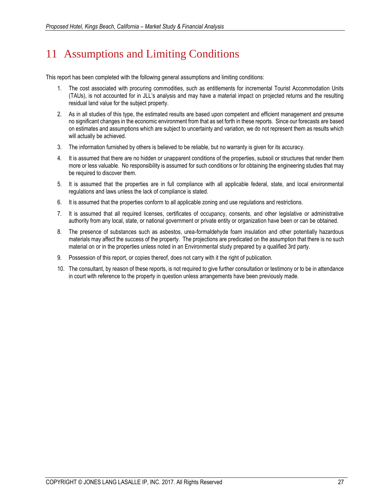# 11 Assumptions and Limiting Conditions

This report has been completed with the following general assumptions and limiting conditions:

- 1. The cost associated with procuring commodities, such as entitlements for incremental Tourist Accommodation Units (TAUs), is not accounted for in JLL's analysis and may have a material impact on projected returns and the resulting residual land value for the subject property.
- 2. As in all studies of this type, the estimated results are based upon competent and efficient management and presume no significant changes in the economic environment from that as set forth in these reports. Since our forecasts are based on estimates and assumptions which are subject to uncertainty and variation, we do not represent them as results which will actually be achieved.
- 3. The information furnished by others is believed to be reliable, but no warranty is given for its accuracy.
- 4. It is assumed that there are no hidden or unapparent conditions of the properties, subsoil or structures that render them more or less valuable. No responsibility is assumed for such conditions or for obtaining the engineering studies that may be required to discover them.
- 5. It is assumed that the properties are in full compliance with all applicable federal, state, and local environmental regulations and laws unless the lack of compliance is stated.
- 6. It is assumed that the properties conform to all applicable zoning and use regulations and restrictions.
- 7. It is assumed that all required licenses, certificates of occupancy, consents, and other legislative or administrative authority from any local, state, or national government or private entity or organization have been or can be obtained.
- 8. The presence of substances such as asbestos, urea-formaldehyde foam insulation and other potentially hazardous materials may affect the success of the property. The projections are predicated on the assumption that there is no such material on or in the properties unless noted in an Environmental study prepared by a qualified 3rd party.
- 9. Possession of this report, or copies thereof, does not carry with it the right of publication.
- 10. The consultant, by reason of these reports, is not required to give further consultation or testimony or to be in attendance in court with reference to the property in question unless arrangements have been previously made.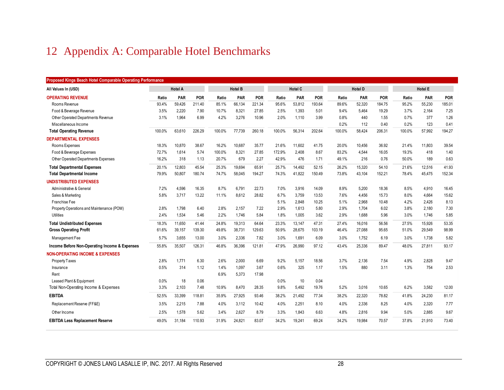# 12 Appendix A: Comparable Hotel Benchmarks

| Proposed Kings Beach Hotel Comparable Operating Performance |                |            |            |                |        |            |        |                |            |        |                |            |                |        |            |  |
|-------------------------------------------------------------|----------------|------------|------------|----------------|--------|------------|--------|----------------|------------|--------|----------------|------------|----------------|--------|------------|--|
| All Values In (USD)                                         | <b>Hotel A</b> |            |            | <b>Hotel B</b> |        |            |        | <b>Hotel C</b> |            |        | <b>Hotel D</b> |            | <b>Hotel E</b> |        |            |  |
| <b>OPERATING REVENUE</b>                                    | Ratio          | <b>PAR</b> | <b>POR</b> | Ratio          | PAR    | <b>POR</b> | Ratio  | <b>PAR</b>     | <b>POR</b> | Ratio  | PAR            | <b>POR</b> | Ratio          | PAR    | <b>POR</b> |  |
| Rooms Revenue                                               | 93.4%          | 59,426     | 211.40     | 85.1%          | 66,134 | 221.34     | 95.6%  | 53,812         | 193.64     | 89.6%  | 52,320         | 184.75     | 95.2%          | 55,230 | 185.01     |  |
| Food & Beverage Revenue                                     | 3.5%           | 2,220      | 7.90       | 10.7%          | 8,321  | 27.85      | 2.5%   | 1,393          | 5.01       | 9.4%   | 5.464          | 19.29      | 3.7%           | 2,164  | 7.25       |  |
| Other Operated Departments Revenue                          | 3.1%           | 1,964      | 6.99       | 4.2%           | 3,276  | 10.96      | 2.0%   | 1,110          | 3.99       | 0.8%   | 440            | 1.55       | 0.7%           | 377    | 1.26       |  |
| Miscellaneous Income                                        |                |            |            |                |        |            |        |                |            | 0.2%   | 112            | 0.40       | 0.2%           | 123    | 0.41       |  |
| <b>Total Operating Revenue</b>                              | 100.0%         | 63,610     | 226.29     | 100.0%         | 77.739 | 260.18     | 100.0% | 56,314         | 202.64     | 100.0% | 58,424         | 206.31     | 100.0%         | 57,992 | 194.27     |  |
| <b>DEPARTMENTAL EXPENSES</b>                                |                |            |            |                |        |            |        |                |            |        |                |            |                |        |            |  |
| Rooms Expenses                                              | 18.3%          | 10,870     | 38.67      | 16.2%          | 10,687 | 35.77      | 21.6%  | 11,602         | 41.75      | 20.0%  | 10,456         | 36.92      | 21.4%          | 11,803 | 39.54      |  |
| Food & Beverage Expenses                                    | 72.7%          | 1,614      | 5.74       | 100.0%         | 8,321  | 27.85      | 172.9% | 2,408          | 8.67       | 83.2%  | 4.544          | 16.05      | 19.3%          | 418    | 1.40       |  |
| Other Operated Departments Expenses                         | 16.2%          | 318        | 1.13       | 20.7%          | 679    | 2.27       | 42.9%  | 476            | 1.71       | 49.1%  | 216            | 0.76       | 50.0%          | 189    | 0.63       |  |
| <b>Total Departmental Expenses</b>                          | 20.1%          | 12,803     | 45.54      | 25.3%          | 19.694 | 65.91      | 25.7%  | 14,492         | 52.15      | 26.2%  | 15,320         | 54.10      | 21.6%          | 12,516 | 41.93      |  |
| <b>Total Departmental Income</b>                            | 79.9%          | 50,807     | 180.74     | 74.7%          | 58,045 | 194.27     | 74.3%  | 41,822         | 150.49     | 73.8%  | 43,104         | 152.21     | 78.4%          | 45,475 | 152.34     |  |
| <b>UNDISTRIBUTED EXPENSES</b>                               |                |            |            |                |        |            |        |                |            |        |                |            |                |        |            |  |
| Administrative & General                                    | 7.2%           | 4,596      | 16.35      | 8.7%           | 6,791  | 22.73      | 7.0%   | 3,916          | 14.09      | 8.9%   | 5,200          | 18.36      | 8.5%           | 4,910  | 16.45      |  |
| Sales & Marketing                                           | 5.8%           | 3,717      | 13.22      | 11.1%          | 8,612  | 28.82      | 6.7%   | 3,759          | 13.53      | 7.6%   | 4,456          | 15.73      | 8.0%           | 4,664  | 15.62      |  |
| Franchise Fee                                               |                |            |            |                |        |            | 5.1%   | 2,848          | 10.25      | 5.1%   | 2,968          | 10.48      | 4.2%           | 2,426  | 8.13       |  |
| Property Operations and Maintenance (POM)                   | 2.8%           | 1,798      | 6.40       | 2.8%           | 2,157  | 7.22       | 2.9%   | 1,613          | 5.80       | 2.9%   | 1,704          | 6.02       | 3.8%           | 2,180  | 7.30       |  |
| Utilities                                                   | 2.4%           | 1,534      | 5.46       | 2.2%           | 1,746  | 5.84       | 1.8%   | 1,005          | 3.62       | 2.9%   | 1,688          | 5.96       | 3.0%           | 1,746  | 5.85       |  |
| <b>Total Undistributed Expenses</b>                         | 18.3%          | 11.650     | 41.44      | 24.8%          | 19.313 | 64.64      | 23.3%  | 13,147         | 47.31      | 27.4%  | 16.016         | 56.56      | 27.5%          | 15.926 | 53.35      |  |
| <b>Gross Operating Profit</b>                               | 61.6%          | 39,157     | 139.30     | 49.8%          | 38,731 | 129.63     | 50.9%  | 28.675         | 103.19     | 46.4%  | 27.088         | 95.65      | 51.0%          | 29,549 | 98.99      |  |
| Management Fee                                              | 5.7%           | 3,655      | 13.00      | 3.0%           | 2,336  | 7.82       | 3.0%   | 1,691          | 6.09       | 3.0%   | 1,752          | 6.19       | 3.0%           | 1,738  | 5.82       |  |
| Income Before Non-Operating Income & Expenses               | 55.8%          | 35,507     | 126.31     | 46.8%          | 36.396 | 121.81     | 47.9%  | 26.990         | 97.12      | 43.4%  | 25.336         | 89.47      | 48.0%          | 27.811 | 93.17      |  |
| <b>NON-OPERATING INCOME &amp; EXPENSES</b>                  |                |            |            |                |        |            |        |                |            |        |                |            |                |        |            |  |
| Property Taxes                                              | 2.8%           | 1.771      | 6.30       | 2.6%           | 2.000  | 6.69       | 9.2%   | 5.157          | 18.56      | 3.7%   | 2.136          | 7.54       | 4.9%           | 2.828  | 9.47       |  |
| Insurance                                                   | 0.5%           | 314        | 1.12       | 1.4%           | 1,097  | 3.67       | 0.6%   | 325            | 1.17       | 1.5%   | 880            | 3.11       | 1.3%           | 754    | 2.53       |  |
| Rent                                                        |                |            |            | 6.9%           | 5,373  | 17.98      |        |                |            |        |                |            |                |        |            |  |
| Leased Plant & Equipment                                    | 0.0%           | 18         | 0.06       |                |        |            | 0.0%   | 10             | 0.04       |        |                |            |                |        |            |  |
| Total Non-Operating Income & Expenses                       | 3.3%           | 2,103      | 7.48       | 10.9%          | 8,470  | 28.35      | 9.8%   | 5,492          | 19.76      | 5.2%   | 3,016          | 10.65      | 6.2%           | 3,582  | 12.00      |  |
| <b>EBITDA</b>                                               | 52.5%          | 33,399     | 118.81     | 35.9%          | 27,925 | 93.46      | 38.2%  | 21.492         | 77.34      | 38.2%  | 22.320         | 78.82      | 41.8%          | 24,230 | 81.17      |  |
| Replacement Reserve (FF&E)                                  | 3.5%           | 2,215      | 7.88       | 4.0%           | 3,112  | 10.42      | 4.0%   | 2,251          | 8.10       | 4.0%   | 2,336          | 8.25       | 4.0%           | 2,320  | 7.77       |  |
| Other Income                                                | 2.5%           | 1,578      | 5.62       | 3.4%           | 2,627  | 8.79       | 3.3%   | 1,843          | 6.63       | 4.8%   | 2,816          | 9.94       | 5.0%           | 2,885  | 9.67       |  |
| <b>EBITDA Less Replacement Reserve</b>                      | 49.0%          | 31.184     | 110.93     | 31.9%          | 24.821 | 83.07      | 34.2%  | 19.241         | 69.24      | 34.2%  | 19.984         | 70.57      | 37.8%          | 21.910 | 73.40      |  |